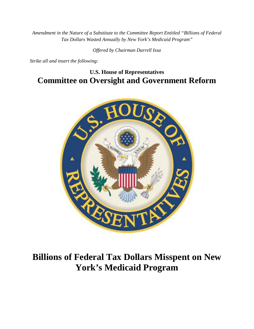*Amendment in the Nature of a Substitute to the Committee Report Entitled "Billions of Federal Tax Dollars Wasted Annually by New York's Medicaid Program"*

*Offered by Chairman Darrell Issa*

*Strike all and insert the following:*

# **U.S. House of Representatives Committee on Oversight and Government Reform**



# **Billions of Federal Tax Dollars Misspent on New York's Medicaid Program**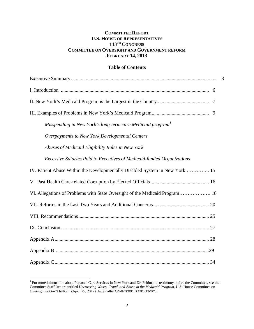# **COMMITTEE REPORT U.S. HOUSE OF REPRESENTATIVES 113TH CONGRESS COMMITTEE ON OVERSIGHT AND GOVERNMENT REFORM FEBRUARY 14, 2013**

# **Table of Contents**

| Misspending in New York's long-term care Medicaid program <sup>1</sup>       |
|------------------------------------------------------------------------------|
| Overpayments to New York Developmental Centers                               |
| Abuses of Medicaid Eligibility Rules in New York                             |
| Excessive Salaries Paid to Executives of Medicaid-funded Organizations       |
| IV. Patient Abuse Within the Developmentally Disabled System in New York  15 |
|                                                                              |
| VI. Allegations of Problems with State Oversight of the Medicaid Program 18  |
|                                                                              |
|                                                                              |
|                                                                              |
|                                                                              |
|                                                                              |
|                                                                              |

<span id="page-1-0"></span><sup>&</sup>lt;sup>1</sup> For more information about Personal Care Services in New York and Dr. Feldman's testimony before the Committee, see the Committee Staff Report entitled *Uncovering Waste, Fraud, and Abuse in the Medicaid Program*, U.S. House Committee on Oversight & Gov't Reform (April 25, 2012) [hereinafter COMMITTEE STAFF REPORT].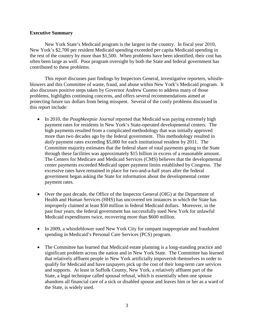#### **Executive Summary**

New York State's Medicaid program is the largest in the country. In fiscal year 2010, New York's \$2,700 per resident Medicaid spending exceeded per capita Medicaid spending in the rest of the country by more than \$1,500. When problems have been identified, their cost has often been large as well. Poor program oversight by both the State and federal government has contributed to these problems.

This report discusses past findings by Inspectors General, investigative reporters, whistleblowers and this Committee of waste, fraud, and abuse within New York's Medicaid program. It also discusses positive steps taken by Governor Andrew Cuomo to address many of those problems, highlights continuing concerns, and offers several recommendations aimed at protecting future tax dollars from being misspent. Several of the costly problems discussed in this report include:

- In 2010, the *Poughkeepsie Journal* reported that Medicaid was paying extremely high payment rates for residents in New York's State-operated developmental centers. The high payments resulted from a complicated methodology that was initially approved more than two decades ago by the federal government. This methodology resulted in *daily* payment rates exceeding \$5,000 for each institutional resident by 2011. The Committee majority estimates that the federal share of total payments going to the State through these facilities was approximately \$15 billion in excess of a reasonable amount. The Centers for Medicare and Medicaid Services (CMS) believes that the developmental center payments exceeded Medicaid upper payment limits established by Congress. The excessive rates have remained in place for two-and-a-half years after the federal government began asking the State for information about the developmental center payment rates.
- Over the past decade, the Office of the Inspector General (OIG) at the Department of Health and Human Services (HHS) has uncovered ten instances in which the State has improperly claimed at least \$50 million in federal Medicaid dollars. Moreover, in the past four years, the federal government has successfully sued New York for unlawful Medicaid expenditures twice, recovering more than \$600 million.
- In 2009, a whistleblower sued New York City for rampant inappropriate and fraudulent spending in Medicaid's Personal Care Services (PCS) program.
- The Committee has learned that Medicaid estate planning is a long-standing practice and significant problem across the nation and in New York State. The Committee has learned that relatively affluent people in New York artificially impoverish themselves in order to qualify for Medicaid and have taxpayers pick up the cost of their long-term care services and supports. At least in Suffolk County, New York, a relatively affluent part of the State, a legal technique called spousal refusal, which is essentially when one spouse abandons all financial care of a sick or disabled spouse and leaves him or her as a ward of the State, is widely used.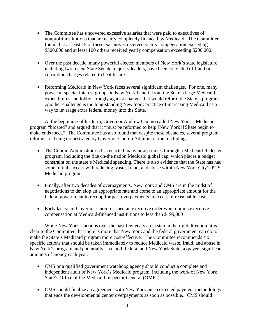- The Committee has uncovered excessive salaries that were paid to executives of nonprofit institutions that are nearly completely financed by Medicaid. The Committee found that at least 15 of these executives received yearly compensation exceeding \$500,000 and at least 100 others received yearly compensation exceeding \$200,000.
- Over the past decade, many powerful elected members of New York's state legislature, including two recent State Senate majority leaders, have been convicted of fraud or corruption charges related to health care.
- Reforming Medicaid in New York faces several significant challenges. For one, many powerful special interest groups in New York benefit from the State's large Medicaid expenditures and lobby strongly against changes that would reform the State's program. Another challenge is the long-standing New York practice of increasing Medicaid as a way to leverage extra federal money into the State.

At the beginning of his term, Governor Andrew Cuomo called New York's Medicaid program "bloated" and argued that it "must be reformed to help [New York] [S]tate begin to make ends meet." The Committee has also found that despite these obstacles, several program reforms are being orchestrated by Governor Cuomo Administration, including:

- The Cuomo Administration has enacted many new policies through a Medicaid Redesign program, including the first-in-the nation Medicaid global cap, which places a budget constraint on the state's Medicaid spending. There is also evidence that the State has had some initial success with reducing waste, fraud, and abuse within New York City's PCS Medicaid program.
- Finally, after two decades of overpayments, New York and CMS are in the midst of negotiations to develop an appropriate rate and come to an appropriate amount for the federal government to recoup for past overpayments in excess of reasonable costs.
- Early last year, Governor Cuomo issued an executive order which limits executive compensation at Medicaid-financed institutions to less than \$199,000

While New York's actions over the past few years are a step in the right direction, it is clear to the Committee that there is more that New York and the federal government can do to make the State's Medicaid program more cost-effective. The Committee recommends six specific actions that should be taken immediately to reduce Medicaid waste, fraud, and abuse in New York's program and potentially save both federal and New York State taxpayers significant amounts of money each year:

- CMS or a qualified government watchdog agency should conduct a complete and independent audit of New York's Medicaid program, including the work of New York State's Office of the Medicaid Inspector General (OMIG).
- CMS should finalize an agreement with New York on a corrected payment methodology that ends the developmental center overpayments as soon as possible.. CMS should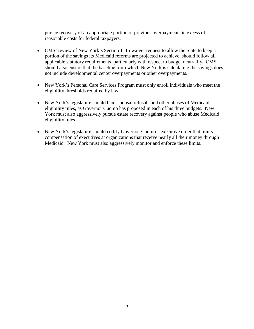pursue recovery of an appropriate portion of previous overpayments in excess of reasonable costs for federal taxpayers.

- CMS' review of New York's Section 1115 waiver request to allow the State to keep a portion of the savings its Medicaid reforms are projected to achieve, should follow all applicable statutory requirements, particularly with respect to budget neutrality. CMS should also ensure that the baseline from which New York is calculating the savings does not include developmental center overpayments or other overpayments.
- New York's Personal Care Services Program must only enroll individuals who meet the eligibility thresholds required by law.
- New York's legislature should ban "spousal refusal" and other abuses of Medicaid eligibility rules, as Governor Cuomo has proposed in each of his three budgets. New York must also aggressively pursue estate recovery against people who abuse Medicaid eligibility rules.
- New York's legislature should codify Governor Cuomo's executive order that limits compensation of executives at organizations that receive nearly all their money through Medicaid. New York must also aggressively monitor and enforce these limits.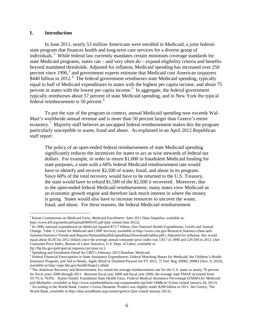#### **I. Introduction**

In June 2011, nearly 53 million Americans were enrolled in Medicaid, a joint federalstate program that finances health and long-term care services for a diverse group of individuals. [2](#page-5-0) While federal law currently mandates certain minimum coverage standards for state Medicaid programs, states can – and very often do – expand eligibility criteria and benefits beyond mandated thresholds. Adjusted for inflation, Medicaid spending has increased over 250 percent since 1990,<sup>[3](#page-5-1)</sup> and government experts estimate that Medicaid cost American taxpayers \$[4](#page-5-2)40 billion in 2012.<sup>4</sup> The federal government reimburses state Medicaid spending, typically equal to half of Medicaid expenditures in states with the highest per capita income, and about 75 percent in states with the lowest per capita income. [5](#page-5-3) In aggregate, the federal government typically reimburses about 57 percent of state Medicaid spending, and in New York the typical federal reimbursement is 50 percent. [6](#page-5-4)

To put the size of the program in context, annual Medicaid spending now exceeds Wal-Mart's worldwide annual revenue and is more than 50 percent larger than Greece's entire economy.<sup>[7](#page-5-5)</sup> Majority staff believes an uncapped federal reimbursement makes this the program particularly susceptible to waste, fraud and abuse. As explained in an April 2012 Republican staff report:

The policy of an open-ended federal reimbursement of state Medicaid spending significantly reduces the incentives for states to act as wise stewards of federal tax dollars. For example, in order to return \$1,000 in fraudulent Medicaid funding for state purposes, a state with a 60% federal Medicaid reimbursement rate would have to identify and recover \$2,500 of waste, fraud, and abuse in its program. Since 60% of the total recovery would have to be returned to the U.S. Treasury, the state would have to refund \$1,500 of the \$2,500 it recovered. Moreover, due to the open-ended federal Medicaid reimbursement, many states view Medicaid as an economic growth engine and therefore lack much interest in where the money is going. States would also have to increase resources to uncover the waste, fraud, and abuse. For these reasons, the federal Medicaid reimbursement

<span id="page-5-0"></span><sup>&</sup>lt;sup>2</sup> Kaiser Commission on Medicaid Facts, *Medicaid Enrollment: June 2011 Data Snapshot*, available at:<br>http://www.kff.org/medicaid/upload/8050-05.pdf (last visited June 2012).

<span id="page-5-1"></span><sup>&</sup>lt;sup>[3](http://www.kff.org/medicaid/upload/8050-05.pdf)</sup> In 1990, national expenditures on Medicaid equaled \$73.7 billion. (*See* National Health Expenditures, Levels and Annual Change, Table 3, Center for Medicaid and CHIP Services, *available at* [http://www.cms.gov/Research-Statistics-Data-and-](http://www.cms.gov/Research-Statistics-Data-and-Systems/Statistics-Trends-and-Reports/NationalHealthExpendData/Downloads/tables.pdf)[Systems/Statistics-Trends-and-Reports/NationalHealthExpendData/Downloads/tables.pdf.](http://www.cms.gov/Research-Statistics-Data-and-Systems/Statistics-Trends-and-Reports/NationalHealthExpendData/Downloads/tables.pdf)) Adjusted for inflation, this would equal about \$129.5in 2012 dollars since the average annual consumer price index was 130.7 in 1990 and 229.594 in 2012. (*See* Consumer Price Index, Bureau of Labor Statistics, U.S. Dept. of Labor, *available at*

ftp://ftp.bls.gov/pub/special.requests/cpi/cpiai.txt.)

<sup>4</sup> Spending and Enrollment Detail for CBO's February 2013 Baseline: Medicaid.

<span id="page-5-3"></span><span id="page-5-2"></span><sup>5</sup> Federal Financial Participation in State Assistance Expenditures; Federal Matching Shares for Medicaid, the Children's Health Insurance Program, and Aid to Needy, Aged, Blind or Disabled Persons for FY 2012, 75 Fed. Reg. 69082, 69083 (Nov. 9, 2010),

<span id="page-5-4"></span>*available at* http://aspe.hhs.gov/health/fmap12.shtml. 6 The American Recovery and Reinvestment Act raised the average reimbursement rate for the U.S. states to nearly 70 percent for fiscal years 2009 through 2011. Between fiscal year 2008 and fiscal year 2009, the average state FMAP increased from 59.7% to 70.0%. Kaiser Family Foundation State Health Facts, *Federal Medical Assistance Percentage (FMAP) for Medicaid*  and Multiplier, available at http://www.statehealthfacts.org/comparetable.jsp?ind=184&cat=4 [\(](http://www.statehealthfacts.org/comparetable.jsp?ind=184&cat=4)last visited January 24, 2013).<br><sup>7</sup> According to the World Bank, Greece's Gross Domestic Product was slightly under \$290 billion

<span id="page-5-5"></span>World Bank, *available at* <http://data.worldbank.org/country/greece> (last visited January 2013).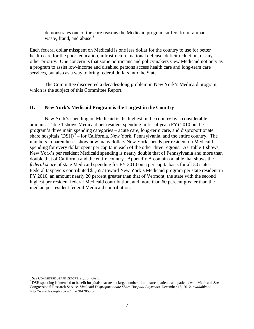demonstrates one of the core reasons the Medicaid program suffers from rampant waste, fraud, and abuse.<sup>[8](#page-6-0)</sup>

Each federal dollar misspent on Medicaid is one less dollar for the country to use for better health care for the poor, education, infrastructure, national defense, deficit reduction, or any other priority. One concern is that some politicians and policymakers view Medicaid not only as a program to assist low-income and disabled persons access health care and long-term care services, but also as a way to bring federal dollars into the State.

The Committee discovered a decades-long problem in New York's Medicaid program, which is the subject of this Committee Report.

# **II. New York's Medicaid Program is the Largest in the Country**

New York's spending on Medicaid is the highest in the country by a considerable amount. Table 1 shows Medicaid per resident spending in fiscal year (FY) 2010 on the program's three main spending categories – acute care, long-term care, and disproportionate share hospitals  $(DSH)^9$  $(DSH)^9$  – for California, New York, Pennsylvania, and the entire country. The numbers in parentheses show how many dollars New York spends per resident on Medicaid spending for every dollar spent per capita in each of the other three regions. As Table 1 shows, New York's per resident Medicaid spending is nearly double that of Pennsylvania and more than double that of California and the entire country. Appendix A contains a table that shows the *federal share* of state Medicaid spending for FY 2010 on a per capita basis for all 50 states. Federal taxpayers contributed \$1,657 toward New York's Medicaid program per state resident in FY 2010, an amount nearly 20 percent greater than that of Vermont, the state with the second highest per resident federal Medicaid contribution, and more than 60 percent greater than the median per resident federal Medicaid contribution.

<span id="page-6-1"></span><span id="page-6-0"></span><sup>&</sup>lt;sup>8</sup> *See* COMMITTEE STAFF REPORT, *supra* note 1.<br><sup>9</sup> DSH spending is intended to benefit hospitals that treat a large number of uninsured patients and patients with Medicaid. *See* Congressional Research Service, *Medicaid Disproportionate Share Hospital Payments,* December 18, 2012, *available at* http://www.fas.org/sgp/crs/misc/R42865.pdf.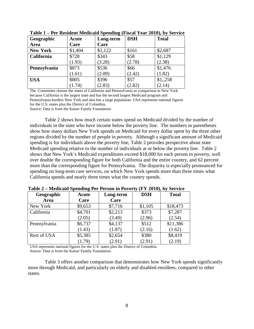| Geographic      | Acute   | Long-term | <b>DSH</b> | <b>Total</b> |
|-----------------|---------|-----------|------------|--------------|
| Area            | Care    | Care      |            |              |
| <b>New York</b> | \$1,404 | \$1,122   | \$161      | \$2,687      |
| California      | \$728   | \$343     | \$58       | \$1,129      |
|                 | (1.93)  | (3.28)    | (2.78)     | (2.38)       |
| Pennsylvania    | \$873   | \$536     | \$66       | \$1,476      |
|                 | (1.61)  | (2.09)    | (2.42)     | (1.82)       |
| <b>USA</b>      | \$805   | \$396     | \$57       | \$1,258      |
|                 | (1.74)  | (2.83)    | (2.82)     | (2.14)       |

**Table 1 – Per Resident Medicaid Spending (Fiscal Year 2010), by Service**

The Committee choose the states of California and Pennsylvania as comparison to New York because California is the largest state and has the second largest Medicaid program and Pennsylvania borders New York and also has a large population. USA represents national figures for the U.S. states plus the District of Columbia.

Source: Data is from the Kaiser Family Foundation.

Table 2 shows how much certain states spend on Medicaid divided by the number of individuals in the state who have income below the poverty line. The numbers in parentheses show how many dollars New York spends on Medicaid for every dollar spent by the three other regions divided by the number of people in poverty. Although a significant amount of Medicaid spending is for individuals above the poverty line, Table 2 provides perspective about state Medicaid spending relative to the number of individuals at or below the poverty line. Table 2 shows that New York's Medicaid expenditures exceed \$18,000 for each person in poverty, well over double the corresponding figure for both California and the entire country, and 62 percent more than the corresponding figure for Pennsylvania. The disparity is especially pronounced for spending on long-term care services, on which New York spends more than three times what California spends and nearly three times what the country spends.

| Geographic         | Acute   | Long-term | <b>DSH</b> | <b>Total</b> |
|--------------------|---------|-----------|------------|--------------|
| Area               | Care    | Care      |            |              |
| New York           | \$9,653 | \$7,716   | \$1,105    | \$18,473     |
| California         | \$4,701 | \$2,213   | \$373      | \$7,287      |
|                    | (2.05)  | (3.49)    | (2.96)     | (2.54)       |
| Pennsylvania       | \$6,737 | \$4,137   | \$512      | \$11,386     |
|                    | (1.43)  | (1.87)    | (2.16)     | (1.62)       |
| <b>Rest of USA</b> | \$5,385 | \$2,654   | \$380      | \$8,419      |
|                    | (1.79)  | (2.91)    | (2.91)     | (2.19)       |

**Table 2 – Medicaid Spending Per Person in Poverty (FY 2010), by Service**

USA represents national figures for the U.S. states plus the District of Columbia. Source: Data is from the Kaiser Family Foundation.

Table 3 offers another comparison that demonstrates how New York spends significantly more through Medicaid, and particularly on elderly and disabled enrollees, compared to other states.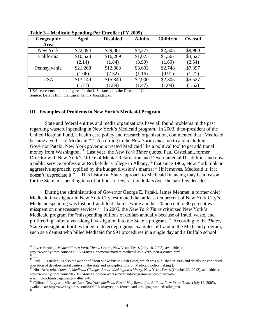| Geographic   | Aged     | <b>Disabled</b> | <b>Adults</b> | <b>Children</b> | <b>Overall</b> |
|--------------|----------|-----------------|---------------|-----------------|----------------|
| Area         |          |                 |               |                 |                |
| New York     | \$22,494 | \$29,881        | \$4,277       | \$2,505         | \$8,960        |
| California   | \$10,528 | \$16,269        | \$1,073       | \$1,567         | \$3,527        |
|              | (2.14)   | (1.84)          | (3.99)        | (1.60)          | (2.54)         |
| Pennsylvania | \$21,268 | \$12,883        | \$3,692       | \$2,748         | \$7,397        |
|              | (1.06)   | (2.32)          | (1.16)        | (0.91)          | (1.21)         |
| <b>USA</b>   | \$13,149 | \$15,840        | \$2,900       | \$2,305         | \$5,527        |
|              | (1.71)   | (1.89)          | (1.47)        | (1.09)          | (1.62)         |

**Table 3 – Medicaid Spending Per Enrollee (FY 2009)**

USA represents national figures for the U.S. states plus the District of Columbia. Source: Data is from the Kaiser Family Foundation.

#### **III. Examples of Problems in New York's Medicaid Program**

State and federal entities and media organizations have all found problems in the past regarding wasteful spending in New York's Medicaid program. In 2003, then-president of the United Hospital Fund, a health care policy and research organization, commented that "Medicaid became a verb – to Medicaid."[10](#page-8-0) According to the *New York Times*, up to and including Governor Pataki, New York governors treated Medicaid like a political tool to get additional money from Washington.<sup>11</sup> Last year, the *New York Times* quoted Paul Castellani, former Director with New York's Office of Mental Retardation and Developmental Disabilities and now a public service professor at Rockefeller College in Albany,<sup>[12](#page-8-2)</sup> that since 1966, New York took an aggressive approach, typified by the budget division's mantra: "[i]f it moves, Medicaid it; if it doesn't, depreciate it."<sup>[13](#page-8-3)</sup> This historical State-approach to Medicaid financing may be a reason for the State misspending tens of billions of federal tax dollars over the past few decades.

During the administration of Governor George E. Pataki, James Mehmet, a former chief Medicaid investigator in New York City, estimated that at least ten percent of New York City's Medicaid spending was lost on fraudulent claims, while another 20 percent to 30 percent was misspent on unnecessary services. [14](#page-8-4) In 2005, the *New York Times* criticized New York's Medicaid program for "misspending billions of dollars annually because of fraud, waste, and profiteering" after a year-long investigation into the State's program.<sup>[15](#page-8-5)</sup> According to the *Times*, State oversight authorities failed to detect egregious examples of fraud in the Medicaid program, such as a dentist who billed Medicaid for 991 procedures in a single day and a Buffalo school

<span id="page-8-0"></span> <sup>10</sup> Joyce Purnick, *'Medicaid' as a Verb, Then a* Crutch, NEW YORK TIMES (July 18, 2005), available at: http://www.nytimes.com/2003/02/24/nyregion/metro-matters-medicaid-as-a-verb-then-a-crutch.html

<span id="page-8-2"></span><span id="page-8-1"></span><sup>&</sup>lt;sup>12</sup> Paul J. Castellani, is also the author of *From Snake Pits to Cash Cows*, which was published in 2005 and details the continued operation of developmental centers in the state and its implications on Medicaid policymaking.).<br><sup>13</sup> Nina Bernstein, *Cuomo's Medicaid Changes Are at Washington's Mercy*, NEW YORK TIMES (October 23, 2012), available at:

<span id="page-8-3"></span>http://www.nytimes.com/2012/10/24/nyregion/new-yorks-medicaid-program-is-at-the-mercy-of-

<span id="page-8-5"></span><span id="page-8-4"></span><sup>&</sup>lt;sup>14</sup> Clifford J. Levy and Michael Luo, *New York Medicaid Fraud May Reach Into Billions*, NEW YORK TIMES (July 18, 2005), available at: http://www.nytimes.com/2005/07/18/nyregion/18medicaid.html?pagewanted=all&\_r=0. <sup>15</sup> *Id.*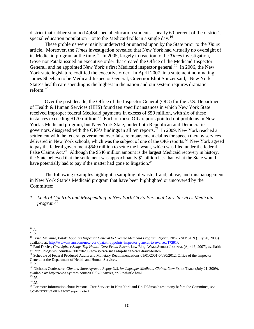district that rubber-stamped 4,434 special education students – nearly 60 percent of the district's special education population – onto the Medicaid rolls in a single day.<sup>[16](#page-9-0)</sup>

These problems were mainly undetected or unacted upon by the State prior to the *Times*  article. Moreover, the *Times* investigation revealed that New York had virtually no oversight of its Medicaid program at the time. [17](#page-9-1) In 2005, largely in reaction to the *Times* investigation, Governor Pataki issued an executive order that created the Office of the Medicaid Inspector General, and he appointed New York's first Medicaid inspector general.<sup>18</sup> In 2006, the New York state legislature codified the executive order. In April 2007, in a statement nominating James Sheehan to be Medicaid Inspector General, Governor Eliot Spitzer said, "New York State's health care spending is the highest in the nation and our system requires dramatic reform $^{\cdot,19}$  $^{\cdot,19}$  $^{\cdot,19}$ 

Over the past decade, the Office of the Inspector General (OIG) for the U.S. Department of Health & Human Services (HHS) found ten specific instances in which New York State received improper federal Medicaid payments in excess of \$50 million, with six of these instances exceeding \$170 million.<sup>20</sup> Each of these OIG reports pointed out problems in New York's Medicaid program, but New York State, under both Republican and Democratic governors, disagreed with the OIG's findings in all ten reports.<sup>[21](#page-9-5)</sup> In 2009, New York reached a settlement with the federal government over false reimbursement claims for speech therapy services delivered in New York schools, which was the subject of one of the OIG reports.<sup>22</sup> New York agreed to pay the federal government \$540 million to settle the lawsuit, which was filed under the federal False Claims Act.<sup>[23](#page-9-7)</sup> Although the \$540 million amount is the largest Medicaid recovery in history, the State believed that the settlement was approximately \$1 billion less than what the State would have potentially had to pay if the matter had gone to litigation.<sup>[24](#page-9-8)</sup>

The following examples highlight a sampling of waste, fraud, abuse, and mismanagement in New York State's Medicaid program that have been highlighted or uncovered by the Committee:

*1. Lack of Controls and Misspending in New York City's Personal Care Services Medicaid program [25](#page-9-9)*

<span id="page-9-2"></span>

<span id="page-9-1"></span><span id="page-9-0"></span><sup>&</sup>lt;sup>16</sup> *Id.*<br><sup>17</sup> *Id.* 17 *Id.* 18 Brian McGuire, *Pataki Appoints Inspector General to Oversee Medicaid Program Reform*, NEW YORK SUN (July 20, 2005) available at: http://www.nysun.com/new-york/pataki-appoints-inspector-ge

<span id="page-9-3"></span><sup>&</sup>lt;sup>19</sup> Paul Davies, *Gov. Spitzer Snags Top Health-Care Fraud Buster*, Law Blog, WALL STREET JOURNAL (April 6, 2007), available at: http://blogs.wsj.com/law/2007/04/06/gov-spitzer-snags-top-health-care-fraud-buster/.

<span id="page-9-4"></span><sup>&</sup>lt;sup>20</sup> Schedule of Federal Produced Audits and Monetary Recommendations  $01/01/2001$ -04/30/2012, Office of the Inspector General at the Department of Health and Human Services.

<span id="page-9-6"></span><span id="page-9-5"></span><sup>&</sup>lt;sup>21</sup> Id. <sup>22</sup> Nicholas Confessore, *City and State Agree to Repay U.S. for Improper Medicaid Claims*, NEW YORK TIMES (July 21, 2009), available at: http://www.nytimes.com/2009/07/22/nyregion/22whistle.html. 23 *Id*. <sup>24</sup> *Id*.

<span id="page-9-7"></span>

<span id="page-9-8"></span>

<span id="page-9-9"></span><sup>25</sup> For more information about Personal Care Services in New York and Dr. Feldman's testimony before the Committee, *see* COMMITTEE STAFF REPORT *supra* note 1.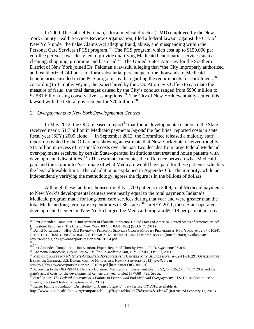In 2009, Dr. Gabriel Feldman, a local medical director (LMD) employed by the New York County Health Services Review Organization, filed a federal lawsuit against the City of New York under the False Claims Act alleging fraud, abuse, and misspending within the Personal Care Services (PCS) program.<sup>[26](#page-10-0)</sup> The PCS program, which cost up to \$150,000 per enrollee per year, was designed to provide qualifying Medicaid beneficiaries services such as cleaning, shopping, grooming and basic aid.<sup>27</sup> The United States Attorney for the Southern District of New York joined Dr. Feldman's lawsuit, alleging that "the City improperly authorized and reauthorized 24-hour care for a substantial percentage of the thousands of Medicaid beneficiaries enrolled in the PCS program" by disregarding the requirements for enrollment.<sup>28</sup> According to Timothy Wyant, the expert hired by the U.S. Attorney's Office to calculate the measure of fraud, the total damages caused by the City's conduct ranged from \$990 million to \$2.581 billion using conservative assumptions.<sup>[29](#page-10-3)</sup> The City of New York eventually settled this lawsuit with the federal government for  $$70$  million.<sup>30</sup>

#### *2. Overpayments to New York Developmental Centers*

In May 2012, the OIG released a report<sup>[31](#page-10-5)</sup> that found developmental centers in the State received nearly \$1.7 billion in Medicaid payments *beyond* the facilities' reported costs in state fiscal year (SFY) 2009 alone.<sup>[32](#page-10-6)</sup> In September 2012, the Committee released a majority staff report motivated by the OIG report showing an estimate that New York State received roughly \$15 billion in excess of reasonable costs over the past two decades from large federal Medicaid over-payments received by certain State-operated institutions that treat and house patients with developmental disabilities.<sup>[33](#page-10-7)</sup> (This estimate calculates the difference between what Medicaid paid and the Committee's estimate of what Medicare would have paid for these patients, which is the legal allowable limit. The calculation is explained in Appendix C). The minority, while not independently verifying the methodology, agrees the figure is in the billions of dollars.

Although these facilities housed roughly 1,700 patients in 2009, total Medicaid payments to New York's developmental centers were nearly equal to the total payments Indiana's Medicaid program made for long-term care services during that year and were greater than the total Medicaid long-term care expenditures of 36 states. [34](#page-10-8) In SFY 2011, these State-operated developmental centers in New York charged the Medicaid program \$5,118 per patient per day,

<span id="page-10-0"></span> <sup>26</sup> First Amended Complaint-In-Intervention of Plaintiff-Intervenor United States of America, United States of America *ex. rel.* Dr. Gabriel Feldman v. The City of New York, 09 Civ. 8381 (JSR) (S.D.N.Y. 2011).

<span id="page-10-1"></span><sup>27</sup> Daniel R. Levinson, HHS OIG REVIEW OF PERSONAL SERVICES CLAIMS MADE BY PROVIDERS IN NEW YORK (A-02-07-01054)*,* OFFICE OF THE INSPECTOR GENERAL, U.S. DEPARTMENT OF HEALTH AND HUMAN SERVICES (June 3, 2009), available at: http://www.oig.hhs.gov/oas/reports/region2/20701054.pdf.

<span id="page-10-5"></span>

<span id="page-10-4"></span><span id="page-10-3"></span><span id="page-10-2"></span><sup>&</sup>lt;sup>29</sup>First Amended Complaint-in-Intervention, Expert Report of Timothy Wyant, Ph.D, *supra* note 26 at 4.<br><sup>30</sup> Anemona Hartocollis, *City to Pay \$70 Million in Medicaid Suit*, N.Y. TIMES, Oct. 31, 2011.<br><sup>31</sup> MEDICAID RATES INSPECTOR GENERAL, U.S. DEPARTMENT OF HEALTH AND HUMAN SERVICES (2012), *available at* 

 $32$  According to the OIG REPORT, New York claimed Medicaid reimbursement totaling \$2,266,625,233 in SFY 2009 and the

<span id="page-10-7"></span><span id="page-10-6"></span>state's actual costs for the developmental centers that year totaled \$577,684,725. *See id.* <sup>33</sup> Staff Report, *The Federal Government's Failure to Prevent and End Medicaid Overpayments*, U.S. House Committee on Oversight & Gov't Reform (September 20, 2012). 34 Kaiser Family Foundation, *Distribution of Medicaid Spending by Service, FY 2010*, available at:

<span id="page-10-8"></span>http://www.statehealthfacts.org/comparetable.jsp?typ=4&ind=178&cat=4&sub=47 (last visited February 12, 2013).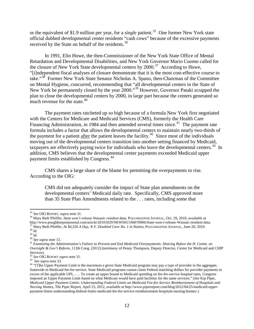or the equivalent of \$1.9 million per year, for a *single* patient.<sup>[35](#page-11-0)</sup> One former New York state official dubbed developmental center residents "cash cows" because of the excessive payments received by the State on behalf of the residents.<sup>[36](#page-11-1)</sup>

In 1991, Elin Howe, the then-Commissioner of the New York State Office of Mental Retardation and Developmental Disabilities, and New York Governor Mario Cuomo called for the closure of New York State developmental centers by  $2000$ .<sup>37</sup> According to Howe, "[i]ndependent fiscal analyses of closure demonstrate that it is the most cost-effective course to take."<sup>38</sup> Former New York State Senator Nicholas A. Spano, then-Chairman of the Committee on Mental Hygiene, concurred, recommending that "all developmental centers in the State of New York be permanently closed by the year 2000."[39](#page-11-4) However, Governor Pataki scrapped the plan to close the developmental centers by 2000, in large part because the centers generated so much revenue for the state. $40<sup>40</sup>$  $40<sup>40</sup>$ 

The payment rates ratcheted up so high because of a formula New York first negotiated with the Centers for Medicare and Medicaid Services (CMS), formerly the Health Care Financing Administration, in 1984 and then amended several times since.<sup>41</sup> The payment rate formula includes a factor that allows the developmental centers to maintain nearly two-thirds of the payment for a patient after the patient leaves the facility.<sup>42</sup> Since most of the individuals moving out of the developmental centers transition into another setting financed by Medicaid, taxpayers are effectively paying twice for individuals who leave the developmental centers.<sup>43</sup> In addition, CMS believes that the developmental center payments exceeded Medicaid upper payment limits established by Congress.[44](#page-11-9)

CMS shares a large share of the blame for permitting the overpayments to rise. According to the OIG:

CMS did not adequately consider the impact of State plan amendments on the developmental centers' Medicaid daily rate. Specifically, CMS approved more than 35 State Plan Amendments related to the . . . rates, including some that

<span id="page-11-1"></span><span id="page-11-0"></span><sup>35</sup> *See* OIG REPORT, *supra* note 31. <sup>36</sup> Mary Beth Pfeiffer, *State won't release Wassaic resident data*, POUGHKEEPSIE JOURNAL, Oct. 29, 2010, *available at* <sup>37</sup> Mary Beth Pfeiffer, *At* \$4,556 *A Day, N.Y. Disabled Care No. 1 in Nation*, POUGHKEEPSIE JOURNAL, June 20, 2010.<br><sup>38</sup> Id.<br><sup>40</sup> See supra note 13.<br><sup>40</sup> See supra note 13.<br><sup>41</sup> Examining the Administration's Failure t

<span id="page-11-4"></span><span id="page-11-3"></span><span id="page-11-2"></span>

<span id="page-11-6"></span><span id="page-11-5"></span>*Oversight & Gov't Reform*, 112th Cong. (2012) (testimony of Penny Thompson, Deputy Director, Center for Medicaid and CHIP Services).<br><sup>42</sup> See OIG REPORT *supra* note 31.

<span id="page-11-9"></span><span id="page-11-8"></span><span id="page-11-7"></span><sup>&</sup>lt;sup>43</sup> *See supra* note 33.<br><sup>43</sup> *See supra* note 33. <br><sup>44</sup> "[T]he Upper Payment Limit is the maximum a given State Medicaid program may pay a type of provider in the aggregate, Statewide in Medicaid fee-for-service. State Medicaid programs cannot claim Federal matching dollars for provider payments in excess of the applicable UPL. . . . To create an upper bound to Medicaid spending on fee-for-service hospital rates, Congress imposed an Upper Payment Limit based on what Medicare would have paid facilities for the same services." (*See* Kip Piper, *Medicaid Upper Payment Limits: Understanding Federal Limits on Medicaid Fee-for-Service Reimbursement of Hospitals and Nursing Homes*, The Piper Report, April 25, 2012, *available at* http://www.piperreport.com/blog/2012/04/25/medicaid-upperpayment-limits-understanding-federal-limits-medicaid-fee-for-service-reimbursement-hospitals-nursing-homes/.)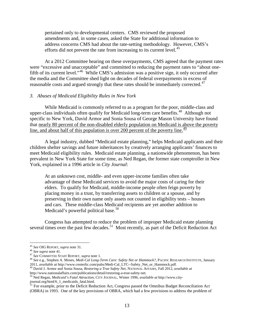pertained only to developmental centers. CMS reviewed the proposed amendments and, in some cases, asked the State for additional information to address concerns CMS had about the rate-setting methodology. However, CMS's efforts did not prevent the rate from increasing to its current level.<sup>[45](#page-12-0)</sup>

At a 2012 Committee hearing on these overpayments, CMS agreed that the payment rates were "excessive and unacceptable" and committed to reducing the payment rates to "about onefifth of its current level."[46](#page-12-1) While CMS's admission was a positive sign, it only occurred after the media and the Committee shed light on decades of federal overpayments in excess of reasonable costs and argued strongly that these rates should be immediately corrected.<sup>47</sup>

## *3. Abuses of Medicaid Eligibility Rules in New York*

While Medicaid is commonly referred to as a program for the poor, middle-class and upper-class individuals often qualify for Medicaid long-term care benefits.<sup>[48](#page-12-3)</sup> Although not specific to New York, David Armor and Sonia Sousa of George Mason University have found that nearly 80 percent of the non-disabled elderly population on Medicaid is above the poverty line, and about half of this population is over 200 percent of the poverty line. $\frac{49}{2}$  $\frac{49}{2}$  $\frac{49}{2}$ 

A legal industry, dubbed "Medicaid estate planning," helps Medicaid applicants and their children shelter savings and future inheritances by creatively arranging applicants' finances to meet Medicaid eligibility rules. Medicaid estate planning, a nationwide phenomenon, has been prevalent in New York State for some time, as Ned Regan, the former state comptroller in New York, explained in a 1996 article in *City Journal*:

At an unknown cost, middle- and even upper-income families often take advantage of these Medicaid services to avoid the major costs of caring for their elders. To qualify for Medicaid, middle-income people often feign poverty by placing money in a trust, by transferring assets to children or a spouse, and by preserving in their own name only assets not counted in eligibility tests – houses and cars. These middle-class Medicaid recipients are yet another addition to Medicaid's powerful political base. $50$ 

Congress has attempted to reduce the problem of improper Medicaid estate planning several times over the past few decades.<sup>[51](#page-12-6)</sup> Most recently, as part of the Deficit Reduction Act

<span id="page-12-4"></span><span id="page-12-3"></span>2011, *available at* http://www.centerltc.com/pubs/Medi-Cal\_LTC--Safety\_Net\_or\_Hammock.pdf. 49 David J. Armor and Sonia Sousa, *Restoring a True Safety Net*, NATIONAL AFFAIRS, Fall 2012, *available at* http://www.nationala

<span id="page-12-0"></span> <sup>45</sup> *See* OIG REPORT, *supra* note 31.

<span id="page-12-2"></span><span id="page-12-1"></span><sup>46</sup> *See supra* note 41*.* <sup>47</sup> *See* COMMITTEE STAFF REPORT, *supra* note 1. <sup>48</sup> *See* e.g., Stephen A. Moses, *Medi-Cal Long-Term Care: Safety Net or Hammock?,* PACIFIC RESEARCH INSTITUTE, January

<span id="page-12-5"></span><sup>&</sup>lt;sup>50</sup> Ned Regan, *Medicaid's Fatal Attraction*, CITY JOURNAL, Winter 1996, *available at* http://www.city-

journal.org/html/6\_1\_medicaids\_fatal.html.

<span id="page-12-6"></span><sup>&</sup>lt;sup>51</sup> For example, prior to the Deficit Reduction Act, Congress passed the Omnibus Budget Reconciliation Act (OBRA) in 1993. One of the key provisions of OBRA, which had a few provisions to address the problem of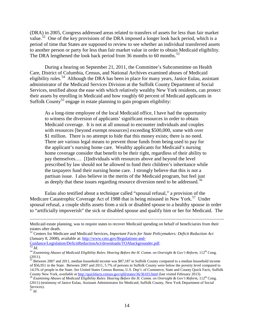(DRA) in 2005, Congress addressed areas related to transfers of assets for less than fair market value.<sup>52</sup> One of the key provisions of the DRA imposed a longer look back period, which is a period of time that States are supposed to review to see whether an individual transferred assets to another person or party for less than fair market value in order to obtain Medicaid eligibility. The DRA lengthened the look back period from 36 months to 60 months.<sup>53</sup>

During a hearing on September 21, 2011, the Committee's Subcommittee on Health Care, District of Columbia, Census, and National Archives examined abuses of Medicaid eligibility rules.<sup>54</sup> Although the DRA has been in place for many years, Janice Eulau, assistant administrator of the Medicaid Services Division at the Suffolk County Department of Social Services, testified about the ease with which relatively wealthy New York residents, can protect their assets by enrolling in Medicaid and how roughly 60 percent of Medicaid applicants in Suffolk County<sup>[55](#page-13-3)</sup> engage in estate planning to gain program eligibility:

As a long-time employee of the local Medicaid office, I have had the opportunity to witness the diversion of applicants' significant resources in order to obtain Medicaid coverage. It is not at all unusual to encounter individuals and couples with resources [beyond exempt resources] exceeding \$500,000, some with over \$1 million. There is no attempt to hide that this money exists; there is no need. There are various legal means to prevent those funds from being used to pay for the applicant's nursing home care. Wealthy applicants for Medicaid's nursing home coverage consider that benefit to be their right, regardless of their ability to pay themselves.… [I]ndividuals with resources above and beyond the level prescribed by law should not be allowed to fund their children's inheritance while the taxpayers fund their nursing home care. I strongly believe that this is not a partisan issue. I also believe in the merits of the Medicaid program, but feel just as deeply that these issues regarding resource diversion need to be addressed.<sup>[56](#page-13-4)</sup>

Eulau also testified about a technique called "spousal refusal," a provision of the Medicare Catastrophic Coverage Act of 1988 that is being misused in New York.<sup>[57](#page-13-5)</sup> Under spousal refusal, a couple shifts assets from a sick or disabled spouse to a healthy spouse in order to "artificially impoverish" the sick or disabled spouse and qualify him or her for Medicaid. The

 $\overline{a}$ 

Medicaid estate planning, was to require states to recover Medicaid spending on behalf of beneficiaries from their estates after death.

<span id="page-13-0"></span><sup>52</sup> Centers for Medicare and Medicaid Services, *Important Facts for State Policymakers: Deficit Reduction Act* (January 8, 2008), available at: [http://www.cms.gov/Regulations-and-](http://www.cms.gov/Regulations-and-Guidance/Legislation/DeficitReductionAct/downloads/TOAbackgrounder.pdf)

<span id="page-13-1"></span>[Guidance/Legislation/DeficitReductionAct/downloads/TOAbackgrounder.pdf.](http://www.cms.gov/Regulations-and-Guidance/Legislation/DeficitReductionAct/downloads/TOAbackgrounder.pdf) <sup>53</sup> *Id.* <sup>54</sup> *Examining Abuses of Medicaid Eligibility Rules*: *Hearing Before the H. Comm. on Oversight & Gov't Reform*, 112th Cong. (2011).

<span id="page-13-3"></span><span id="page-13-2"></span><sup>&</sup>lt;sup>55</sup> Between 2007 and 2011, median household income was \$87,187 in Suffolk County compared to a median household income of \$56,951 in the State. Between 2007 and 2011, 5.7% of persons in Suffolk County were below the poverty level compared to 14.5% of people in the State. *See* United States Census Bureau, U.S. Dep't. of Commerce, State and County Quick Facts, Suffolk County New York, available at http://quickfacts.census.gov/qfd/states/36/36103.html (last visited February 2013).<br><sup>56</sup> Examining Abuses of Medicaid Eligibility Rules: Hearing Before the H. Comm. on Oversight & Gov't Reform

<span id="page-13-4"></span><sup>(2011) (</sup>testimony of Janice Eulau, Assistant Administrator for Medicaid, Suffolk County, New York Department of Social Services).

<span id="page-13-5"></span><sup>57</sup> *Id*.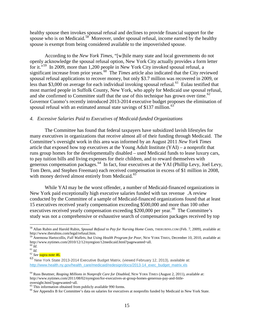healthy spouse then invokes spousal refusal and declines to provide financial support for the spouse who is on Medicaid.<sup>[58](#page-14-0)</sup> Moreover, under spousal refusal, income earned by the healthy spouse is exempt from being considered available to the impoverished spouse.

According to the *New York Times*, "[w]hile many state and local governments do not openly acknowledge the spousal refusal option, New York City actually provides a form letter for it."<sup>[59](#page-14-1)</sup> In 2009, more than 1,200 people in New York City invoked spousal refusal, a significant increase from prior years.<sup>60</sup> The *Times* article also indicated that the City reviewed spousal refusal applications to recover money, but only \$3.7 million was recovered in 2009, or less than \$3,000 on average for each individual invoking spousal refusal.<sup>[61](#page-14-3)</sup> Eulau testified that most married people in Suffolk County, New York, who apply for Medicaid use spousal refusal, and she confirmed to Committee staff that the use of this technique has grown over time.<sup>[62](#page-14-4)</sup> Governor Cuomo's recently introduced 2013-2014 executive budget proposes the elimination of spousal refusal with an estimated annual state savings of \$137 million.<sup>[63](#page-14-5)</sup>

#### *4. Excessive Salaries Paid to Executives of Medicaid-funded Organizations*

The Committee has found that federal taxpayers have subsidized lavish lifestyles for many executives in organizations that receive almost all of their funding through Medicaid. The Committee's oversight work in this area was informed by an August 2011 *New York Times* article that exposed how top executives at the Young Adult Institute (YAI) – a nonprofit that runs group homes for the developmentally disabled – used Medicaid funds to lease luxury cars, to pay tuition bills and living expenses for their children, and to reward themselves with generous compensation packages.<sup>[64](#page-14-6)</sup> In fact, four executives at the YAI (Phillip Levy, Joel Levy, Tom Dern, and Stephen Freeman) each received compensation in excess of \$1 million in 2008, with money derived almost entirely from Medicaid.<sup>[65](#page-14-7)</sup>

While YAI may be the worst offender, a number of Medicaid-financed organizations in New York paid exceptionally high executive salaries funded with tax revenue .A review conducted by the Committee of a sample of Medicaid-financed organizations found that at least 15 executives received yearly compensation exceeding \$500,000 and more than 100 other executives received yearly compensation exceeding \$200,000 per year.<sup>[66](#page-14-8)</sup> The Committee's study was not a comprehensive or exhaustive search of compensation packages received by top

<span id="page-14-0"></span> <sup>58</sup> Allan Rubin and Harold Rubin, *Spousal Refusal to Pay for Nursing Home Costs*, THERUBINS.COM (Feb. 7, 2009), available at: http://www.therubins.com/legal/refusal.htm.

<span id="page-14-1"></span><sup>59</sup> Anemona Hartocollis, *Full Wallets, but Using Health Program for Poor*, NEW YORK TIMES, December 10, 2010, available at: http://www.nytimes.com/2010/12/12/nyregion/12medicaid.html?pagewanted=all.  $^{60}$   $\emph{Id.}$ 

<span id="page-14-2"></span>

<span id="page-14-3"></span><sup>60</sup> *Id.* <sup>61</sup> *Id.* <sup>62</sup> *See* supra note 46.

<span id="page-14-5"></span><span id="page-14-4"></span><sup>63</sup> New York State 2013-2014 Executive Budget Matrix, (viewed February 12, 2013), available at: [http://www.health.ny.gov/health\\_care/medicaid/redesign/docs/2013-14\\_exec\\_budget\\_matrix.xls](http://www.health.ny.gov/health_care/medicaid/redesign/docs/2013-14_exec_budget_matrix.xls)

<span id="page-14-6"></span><sup>64</sup> Russ Beuttner, *Reaping Millions in Nonprofit Care for Disabled*, NEW YORK TIMES (August 2, 2011), available at: http://www.nytimes.com/2011/08/02/nyregion/for-executives-at-group-homes-generous-pay-and-little-

oversight.html?pagewanted=all.<br><sup>65</sup> This information obtained from publicly available 990 forms.

<span id="page-14-8"></span><span id="page-14-7"></span><sup>&</sup>lt;sup>66</sup> See Appendix B for Committee's data on salaries for executives at nonprofits funded by Medicaid in New York State.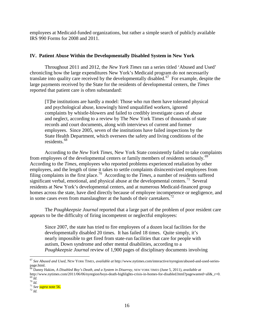employees at Medicaid-funded organizations, but rather a simple search of publicly available IRS 990 Forms for 2008 and 2011.

# **IV. Patient Abuse Within the Developmentally Disabled System in New York**

Throughout 2011 and 2012, the *New York Times* ran a series titled 'Abused and Used' chronicling how the large expenditures New York's Medicaid program do not necessarily translate into quality care received by the developmentally disabled.<sup>67</sup> For example, despite the large payments received by the State for the residents of developmental centers, the *Times*  reported that patient care is often substandard:

[T]he institutions are hardly a model: Those who run them have tolerated physical and psychological abuse, knowingly hired unqualified workers, ignored complaints by whistle-blowers and failed to credibly investigate cases of abuse and neglect, according to a review by The New York Times of thousands of state records and court documents, along with interviews of current and former employees. Since 2005, seven of the institutions have failed inspections by the State Health Department, which oversees the safety and living conditions of the residents.[68](#page-15-1)

According to the *New York Times*, New York State consistently failed to take complaints from employees of the developmental centers or family members of residents seriously.<sup>69</sup> According to the *Times,* employees who reported problems experienced retaliation by other employees, and the length of time it takes to settle complaints disincentivized employees from filing complaints in the first place.[70](#page-15-3) According to the *Times*, a number of residents suffered significant verbal, emotional, and physical abuse at the developmental centers.<sup>[71](#page-15-4)</sup> Several residents at New York's developmental centers, and at numerous Medicaid-financed group homes across the state, have died directly because of employee incompetence or negligence, and in some cases even from manslaughter at the hands of their caretakers.<sup>[72](#page-15-5)</sup>

The *Poughkeepsie Journal* reported that a large part of the problem of poor resident care appears to be the difficulty of firing incompetent or neglectful employees:

Since 2007, the state has tried to fire employees of a dozen local facilities for the developmentally disabled 20 times. It has failed 18 times. Quite simply, it's nearly impossible to get fired from state-run facilities that care for people with autism, Down syndrome and other mental disabilities, according to a *Poughkeepsie Journal* review of 1,900 pages of disciplinary documents involving

<span id="page-15-0"></span> <sup>67</sup> *See Abused and Used,* NEW YORK TIMES*, available at* http://www.nytimes.com/interactive/nyregion/abused-and-used-seriespage.html.

<span id="page-15-1"></span><sup>68</sup> Danny Hakim, *A Disabled Boy's Death, and a System in Disarray*, NEW YORK TIMES (June 5, 2011), *available at* http://www.nytimes.com/2011/06/06/nyregion/boys-death-highlights-crisis-in-homes-for-disabled.html?pagewanted=all&\_r=0. <sup>69</sup> *Id.* 70 *Id.* 71 *See supra* note 56. <sup>71</sup> *Id. 71 See supra* note 56.

<span id="page-15-3"></span><span id="page-15-2"></span>

<span id="page-15-5"></span><span id="page-15-4"></span>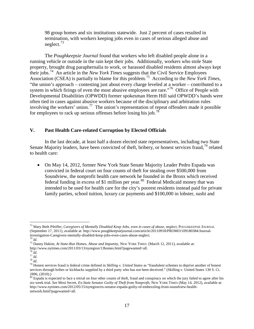98 group homes and six institutions statewide. Just 2 percent of cases resulted in termination, with workers keeping jobs even in cases of serious alleged abuse and neglect.[73](#page-16-0)

The *Poughkeepsie Journal* found that workers who left disabled people alone in a running vehicle or outside in the rain kept their jobs. Additionally, workers who stole State property, brought drug paraphernalia to work, or harassed disabled residents almost always kept their jobs.[74](#page-16-1) An article in the *New York Times* suggests that the Civil Service Employees Association (CSEA) is partially to blame for this problem.[75](#page-16-2) According to the *New York Times*, "the union's approach – contesting just about every charge leveled at a worker – contributed to a system in which firings of even the most abusive employees are rare."<sup>[76](#page-16-3)</sup> Office of People with Developmental Disabilities (OPWDD) former spokesman Herm Hill said OPWDD's hands were often tied in cases against abusive workers because of the disciplinary and arbitration rules involving the workers' union.<sup>[77](#page-16-4)</sup> The union's representation of repeat offenders made it possible for employees to rack up serious offenses before losing his job.[78](#page-16-5)

## **V. Past Health Care-related Corruption by Elected Officials**

In the last decade, at least half a dozen elected state representatives, including two State Senate Majority leaders, have been convicted of theft, bribery, or honest services fraud,<sup>[79](#page-16-6)</sup> related to health care:

• On May 14, 2012, former New York State Senate Majority Leader Pedro Espada was convicted in federal court on four counts of theft for stealing over \$500,000 from Soundview, the nonprofit health care network he founded in the Bronx which received federal funding in excess of \$1 million per year.<sup>[80](#page-16-7)</sup> Federal Medicaid money that was intended to be used for health care for the city's poorest residents instead paid for private family parties, school tuition, luxury car payments and \$100,000 in lobster, sushi and

<span id="page-16-0"></span> <sup>73</sup> Mary Beth Pfeiffer, *Caregivers of Mentally Disabled Keep Jobs, even in cases of abuse, neglect*, POUGHKEEPSIE JOURNAL (September 17, 2011), available at: http://www.poughkeepsiejournal.com/article/20110918/PROMO/109180384/Journalinvestigation-Caregivers-mentally-disabled-keep-jobs-even-cases-abuse-neglect.  $^{74}$   $\emph{Id}$ 

<span id="page-16-1"></span><sup>74</sup> *Id*. <sup>75</sup> Danny Hakim, *At State-Run Homes, Abuse and Impunity*, NEW YORK TIMES (March 12, 2011), available at*:*

<span id="page-16-3"></span><span id="page-16-2"></span>http://www.nytimes.com/2011/03/13/nyregion/13homes.html?pagewanted=all. <sup>76</sup> Id. <sup>77</sup> Id.

<span id="page-16-6"></span><span id="page-16-5"></span><span id="page-16-4"></span><sup>76</sup> *Id*. <sup>77</sup> *Id*. <sup>78</sup> *Id*. <sup>79</sup> Honest services fraud is federal crime defined in *Skilling v. United States* as "fraudulent schemes to deprive another of honest services through bribes or kickbacks supplied by a third party who has not been deceived." (Skilling v. United States 130 S. Ct. 2896, (2010).)

<span id="page-16-7"></span><sup>&</sup>lt;sup>80</sup> Espada is expected to face a retrial on four other counts of theft, fraud and conspiracy on which the jury failed to agree after his six-week trial. *See* Mosi Secret, *Ex-State Senator Guilty of Theft from Nonprofit*, NEW YORK TIMES (May 14, 2012), available at*:* http://www.nytimes.com/2012/05/15/nyregion/ex-senator-espada-guilty-of-embezzling-from-soundview-healthnetwork.html?pagewanted=all.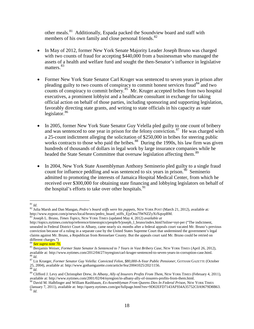other meals.<sup>[81](#page-17-0)</sup> Additionally, Espada packed the Soundview board and staff with members of his own family and close personal friends.<sup>82</sup>

- In May of 2012, former New York Senate Majority Leader Joseph Bruno was charged with two counts of fraud for accepting \$440,000 from a businessman who managed the assets of a health and welfare fund and sought the then-Senator's influence in legislative matters.<sup>[83](#page-17-2)</sup>
- Former New York State Senator Carl Kruger was sentenced to seven years in prison after pleading guilty to two counts of conspiracy to commit honest services fraud<sup>[84](#page-17-3)</sup> and two counts of conspiracy to commit bribery.<sup>[85](#page-17-4)</sup> Mr. Kruger accepted bribes from two hospital executives, a prominent lobbyist and a healthcare consultant in exchange for taking official action on behalf of those parties, including sponsoring and supporting legislation, favorably directing state grants, and writing to state officials in his capacity as state legislator. $86$
- In 2005, former New York State Senator Guy Velella pled guilty to one count of bribery and was sentenced to one year in prison for the felony conviction.<sup>[87](#page-17-6)</sup> He was charged with a 25-count indictment alleging the solicitation of \$250,000 in bribes for steering public works contracts to those who paid the bribes.<sup>[88](#page-17-7)</sup> During the 1990s, his law firm was given hundreds of thousands of dollars in legal work by large insurance companies while he headed the State Senate Committee that oversaw legislation affecting them.<sup>[89](#page-17-8)</sup>
- In 2004, New York State Assemblyman Anthony Seminerio pled guilty to a single fraud count for influence peddling and was sentenced to six years in prison.<sup>[90](#page-17-9)</sup> Seminerio admitted to promoting the interests of Jamaica Hospital Medical Center, from which he received over \$300,000 for obtaining state financing and lobbying legislators on behalf of the hospital's efforts to take over other hospitals.<sup>[91](#page-17-10)</sup>

<span id="page-17-0"></span> <sup>81</sup> *Id*.

<span id="page-17-1"></span><sup>82</sup> Julia Marsh and Dan Mangan, *Pedro's board stiffs were his puppets*, NEW YORK POST (March 21, 2012), available at*:*

<span id="page-17-2"></span> $h<sup>83</sup>$  Joseph L. Bruno, *Times Topics*, NEW YORK TIMES (updated May 4, 2012) *available at* 

[http://topics.nytimes.com/top/reference/timestopics/people/b/joseph\\_l\\_bruno/index.html?inline=nyt-per](http://topics.nytimes.com/top/reference/timestopics/people/b/joseph_l_bruno/index.html?inline=nyt-per) ("The indictment, unsealed in Federal District Court in Albany, came nearly six months after a federal appeals court vacated Mr. Bruno's previous conviction because of a ruling in a separate case by the United States Supreme Court that undermined the government's legal claims against Mr. Bruno, a Republican from Rensselaer County. But the appeals court said Mr. Bruno could be retried on different charges.")

<span id="page-17-4"></span><span id="page-17-3"></span><sup>&</sup>lt;sup>84</sup> <mark>See supra note 70.</mark><br><sup>85</sup> Benjamin Weiser, *Former State Senator Is Sentenced to 7 Years in Vast Bribery Case*, NEW YORK TIMES (April 26, 2012), available at: http://www.nytimes.com/2012/04/27/nyregion/carl-kruger-sentenced-to-seven-years-in-corruption-case.html.<br><sup>86</sup> Id. Krueger, Former Senator Guy Velella: Convicted Felon, \$80,000-A-Year Public Pensioner, GOTHAM

<span id="page-17-5"></span>

<span id="page-17-7"></span><span id="page-17-6"></span><sup>25, 2004),</sup> available at: [http://www.gothamgazette.com/article/fea/20041025/202/1156.](http://www.gothamgazette.com/article/fea/20041025/202/1156)<br><sup>88</sup> *Id.*<br><sup>89</sup> Clifford J. Levy and Christopher Drew, *In Albany, Ally of Insurers Profits From Them*, New York TIMES (February 4, 2011)

<span id="page-17-10"></span><span id="page-17-9"></span><span id="page-17-8"></span> $90$  David M. Halbfinger and William Rashbaum, Ex-Assemblyman From Queens Dies In Federal Prison, NEW YORK TIMES (January 7, 2011), available at: http://query.nytimes.com/gst/fullpage.html?res=9D02EFD7143AF934A35752C0A9679D8B63. <sup>91</sup> *Id*.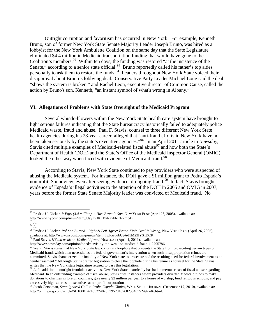Outright corruption and favoritism has occurred in New York. For example, Kenneth Bruno, son of former New York State Senate Majority Leader Joseph Bruno, was hired as a lobbyist for the New York Ambulette Coalition on the same day that the State Legislature eliminated \$4.4 million in Medicaid transportation funding that would have gone to the Coalition's members.<sup>92</sup> Within ten days, the funding was restored "at the insistence of the Senate," according to a senior state official.<sup>93</sup> Bruno reportedly called his father's top aides personally to ask them to restore the funds.<sup>[94](#page-18-2)</sup> Leaders throughout New York State voiced their disapproval about Bruno's lobbying deal. Conservative Party Leader Michael Long said the deal "shows the system is broken," and Rachel Leon, executive director of Common Cause, called the action by Bruno's son, Kenneth, "an instant symbol of what's wrong in Albany."[95](#page-18-3)

#### **VI. Allegations of Problems with State Oversight of the Medicaid Program**

Several whistle-blowers within the New York State health care system have brought to light serious failures indicating that the State bureaucracy historically failed to adequately police Medicaid waste, fraud and abuse. Paul F. Stavis, counsel to three different New York State health agencies during his 28-year career, alleged that "anti-fraud efforts in New York have not been taken seriously by the state's executive agencies."[96](#page-18-4) In an April 2011 article in *Newsday*, Stavis cited multiple examples of Medicaid-related fiscal abuse  $97<sup>7</sup>$  $97<sup>7</sup>$  and how both the State's Department of Health (DOH) and the State's Office of the Medicaid Inspector General (OMIG) looked the other way when faced with evidence of Medicaid fraud.<sup>[98](#page-18-6)</sup>

According to Stavis, New York State continued to pay providers who were suspected of abusing the Medicaid system. For instance, the DOH gave a \$1 million grant to Pedro Espada's nonprofit, Soundview, even after seeing evidence of ongoing fraud.<sup>[99](#page-18-7)</sup> In fact, Stavis brought evidence of Espada's illegal activities to the attention of the DOH in 2005 and OMIG in 2007, years before the former State Senate Majority leader was convicted of Medicaid fraud. No

<span id="page-18-0"></span> <sup>92</sup> Fredric U. Dicker, *It Pays (4.4 million) to Hire Bruno's Son*, NEW YORK POST (April 25, 2005), available at:

http://www.nypost.com/p/news/item\_Usy1VfKTPyNavkRCN2mb4K.

<span id="page-18-3"></span><span id="page-18-2"></span><span id="page-18-1"></span><sup>&</sup>lt;sup>94</sup> *Id.*<br><sup>94</sup> *Id.* 95 Fredric U. Dicker, *Pol Son Burned - Right & Left Agree: Bruno Kin's Deal Is Wrong*, NEW YORK POST (April 26, 2005), available at: http://www.nypost.com/p/news/item\_IwRwuubUpAd1M231YXtDCK.

<sup>&</sup>lt;sup>96</sup> Paul Stavis, *NY too weak on Medicaid fraud*, NEWSDAY (April 1, 2011), available at:

<span id="page-18-5"></span><span id="page-18-4"></span>http://www.newsday.com/opinion/oped/stavis-ny-too-weak-on-medicaid-fraud-1.2795786. 97 *See id*. Stavis states that New York State law contains a loophole that prevents the State from prosecuting certain types of Medicaid fraud, which then necessitates the federal government's intervention when such misappropriation crimes are committed. Stavis characterized the inability of New York state to prosecute and the resulting need for federal involvement as an "embarrassment." Although Stavis drafted legislation to close the loophole during his tenure as counsel for the State, Stavis writes that the New York state legislature refused to pass this legislation.<br><sup>98</sup> *Id*. In addition to outright fraudulent activities, New York State historically has had numerous cases of fiscal abuse regarding

<span id="page-18-6"></span>Medicaid. In an outstanding example of fiscal abuse, Stavis cites instances where providers diverted Medicaid funds to make donations to charities in foreign countries, give nearly \$2 million per year to a house of worship, fund religious schools, and pay excessively high salaries to executives at nonprofit corporations.

<span id="page-18-7"></span><sup>99</sup> Jacob Gershman, *State Ignored Call to Probe Espada Clinics*, WALL STREET JOURNAL (December 17, 2010), available at: http://online.wsj.com/article/SB10001424052748703395204576023843352497746.html.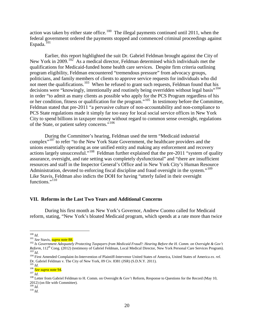action was taken by either state office.<sup>[100](#page-19-0)</sup> The illegal payments continued until 2011, when the federal government ordered the payments stopped and commenced criminal proceedings against Espada.<sup>[101](#page-19-1)</sup>

Earlier, this report highlighted the suit Dr. Gabriel Feldman brought against the City of New York in 2009.<sup>[102](#page-19-2)</sup> As a medical director, Feldman determined which individuals met the qualifications for Medicaid-funded home health care services. Despite firm criteria outlining program eligibility, Feldman encountered "tremendous pressure" from advocacy groups, politicians, and family members of clients to approve service requests for individuals who did not meet the qualifications.<sup>[103](#page-19-3)</sup> When he refused to grant such requests, Feldman found that his decisions were "knowingly, intentionally and routinely being overridden without legal basis"<sup>[104](#page-19-4)</sup> in order "to admit as many clients as possible who apply for the PCS Program regardless of his or her condition, fitness or qualification for the program."[105](#page-19-5) In testimony before the Committee, Feldman stated that pre-2011 "a pervasive culture of non-accountability and non-compliance to PCS State regulations made it simply far too easy for local social service offices in New York City to spend billions in taxpayer money without regard to common sense oversight, regulations of the State, or patient safety concerns."[106](#page-19-6)

During the Committee's hearing, Feldman used the term "Medicaid industrial complex<sup>"[107](#page-19-7)</sup> to refer "to the New York State Government, the healthcare providers and the unions essentially operating as one unified entity and making any enforcement and recovery actions largely unsuccessful."[108](#page-19-8) Feldman further explained that the pre-2011 "system of quality assurance, oversight, and rate setting was completely dysfunctional" and "there are insufficient resources and staff in the Inspector General's Office and in New York City's Human Resource Administration, devoted to enforcing fiscal discipline and fraud oversight in the system."<sup>[109](#page-19-9)</sup> Like Stavis, Feldman also indicts the DOH for having "utterly failed in their oversight functions."<sup>[110](#page-19-10)</sup>

## **VII. Reforms in the Last Two Years and Additional Concerns**

During his first month as New York's Governor, Andrew Cuomo called for Medicaid reform, stating, "New York's bloated Medicaid program, which spends at a rate more than twice

<span id="page-19-2"></span>

<span id="page-19-1"></span><span id="page-19-0"></span><sup>&</sup>lt;sup>100</sup> Id.<br><sup>101</sup> See Stavis, <mark>supra note 88.</mark><br><sup>102</sup> Is Government Adequately Protecting Taxpayers from Medicaid Fraud?: Hearing Before the H. Comm. on Oversight & Gov't Reform, 112<sup>th</sup> Cong. (2012) (testimony of Gabriel Feldman, Local Medical Director, New York Personal Care Services Program).<br><sup>103</sup> Id.<br><sup>104</sup> First Amended Complaint-In-Intervention of Plaintiff-Intervenor United States of

<span id="page-19-4"></span><span id="page-19-3"></span>Dr. Gabriel Feldman v. The City of New York, 09 Civ. 8381 (JSR) (S.D.N.Y. 2011). $^{105}$   $_{\rm Id}$ 

<span id="page-19-8"></span>

<span id="page-19-7"></span><span id="page-19-6"></span><span id="page-19-5"></span><sup>&</sup>lt;sup>106</sup> **See** *supra* **note 94**.<br><sup>107</sup> *Id.* 108 Letter from Gabriel Feldman to H. Comm. on Oversight & Gov't Reform, Response to Questions for the Record (May 10, 2012) (on file with Committee).<br> $^{109}$  *Id.* 

<span id="page-19-10"></span><span id="page-19-9"></span> $\frac{110}{Id}$ .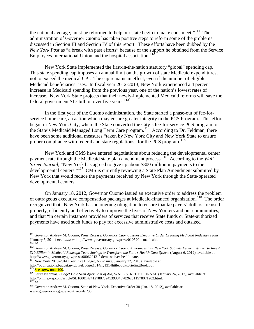the national average, must be reformed to help our state begin to make ends meet."<sup>111</sup> The administration of Governor Cuomo has taken positive steps to reform some of the problems discussed in Section III and Section IV of this report. These efforts have been dubbed by the *New York Post* as "a break with past efforts" because of the support he obtained from the Service Employees International Union and the hospital association. $112$ 

New York State implemented the first-in-the-nation statutory "global" spending cap. This state spending cap imposes an annual limit on the growth of state Medicaid expenditures, not to exceed the medical CPI. The cap remains in effect, even if the number of eligible Medicaid beneficiaries rises. In fiscal year 2012-2013, New York experienced a 4 percent increase in Medicaid spending from the previous year, one of the nation's lowest rates of increase. New York State projects that their newly-implemented Medicaid reforms will save the federal government \$17 billion over five years. $113$ 

In the first year of the Cuomo administration, the State started a phase-out of fee-forservice home care, an action which may ensure greater integrity in the PCS Program. This effort began in New York City, where the State converted the City's fee-for-service PCS program to the State's Medicaid Managed Long Term Care program.<sup>114</sup> According to Dr. Feldman, there have been some additional measures "taken by New York City and New York State to ensure proper compliance with federal and state regulations" for the PCS program.<sup>115</sup>

New York and CMS have entered negotiations about reducing the developmental center payment rate through the Medicaid state plan amendment process.<sup>[116](#page-20-5)</sup> According to the *Wall Street Journal*, "New York has agreed to give up about \$800 million in payments to the developmental centers."[117](#page-20-6) CMS is currently reviewing a State Plan Amendment submitted by New York that would reduce the payments received by New York through the State-operated developmental centers.

On January 18, 2012, Governor Cuomo issued an executive order to address the problem of outrageous executive compensation packages at Medicaid-financed organization.<sup>[118](#page-20-7)</sup> The order recognized that "New York has an ongoing obligation to ensure that taxpayers' dollars are used properly, efficiently and effectively to improve the lives of New Yorkers and our communities," and that "in certain instances providers of services that receive State funds or State-authorized payments have used such funds to pay for excessive administrative costs and outsized

<span id="page-20-3"></span><sup>114</sup> New York 2013-2014 Executive Budget, *NY Rising*, (January 22, 2013), available at: http://publications.budget.ny.gov/eBudget1314/fy1314littlebook/BriefingBook.pdf.

<span id="page-20-0"></span> <sup>111</sup> Governor Andrew M. Cuomo, Press Release, *Governor Cuomo Issues Executive Order Creating Medicaid Redesign Team* (January 5, 2011) *available at* http://www.governor.ny.gov/press/01052011 medicaid.<br><sup>112</sup> Id.

<span id="page-20-2"></span><span id="page-20-1"></span>http://www.governor.com/press/0201113 Governor Guomo Announces that New York Submits Federal Waiver to Invest *\$10 Billion in Medicaid Redesign Team Savings to Transform the State's Health Care System* (August 6, 2012), available at:

<span id="page-20-5"></span><span id="page-20-4"></span><sup>&</sup>lt;sup>115</sup> <mark>See supra note 100</mark>.<br><sup>116</sup> Laura Nahmias, *Budget Hole Seen After Loss of Aid*, WALL STREET JOURNAL (January 24, 2013), available at:<br>http://online.wsj.com/article/SB10001424127887324539304578262311978071202.html.

<span id="page-20-7"></span><span id="page-20-6"></span>http://d.<br><sup>117</sup>*Id.* Governor Andrew M. Cuomo, State of New York, Executive Order 38 (Jan. 18, 2012), available at: www.governor.ny.gov/executiveorder/38.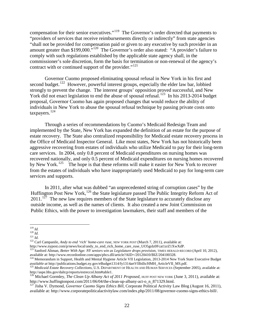compensation for their senior executives."[119](#page-21-0) The Governor's order directed that payments to "providers of services that receive reimbursements directly or indirectly" from state agencies "shall not be provided for compensation paid or given to any executive by such provider in an amount greater than \$199,000."[120](#page-21-1) The Governor's order also stated: "A provider's failure to comply with such regulations established by the applicable state agency shall, in the commissioner's sole discretion, form the basis for termination or non-renewal of the agency's contract with or continued support of the provider."<sup>[121](#page-21-2)</sup>

Governor Cuomo proposed eliminating spousal refusal in New York in his first and second budget.<sup>122</sup> However, powerful interest groups, especially the elder law bar, lobbied strongly to prevent the change. The interest groups' opposition proved successful, and New York did not enact legislation to end the abuse of spousal refusal.<sup>123</sup> In his 2013-2014 budget proposal, Governor Cuomo has again proposed changes that would reduce the ability of individuals in New York to abuse the spousal refusal technique by passing private costs onto taxpayers.<sup>124</sup>

Through a series of recommendations by Cuomo's Medicaid Redesign Team and implemented by the State, New York has expanded the definition of an estate for the purpose of estate recovery. The State also centralized responsibility for Medicaid estate recovery process in the Office of Medicaid Inspector General. Like most states, New York has not historically been aggressive recovering from estates of individuals who utilize Medicaid to pay for their long-term care services. In 2004, only 0.8 percent of Medicaid expenditures on nursing homes was recovered nationally, and only 0.5 percent of Medicaid expenditures on nursing homes recovered by New York.<sup>[125](#page-21-6)</sup> The hope is that these reforms will make it easier for New York to recover from the estates of individuals who have inappropriately used Medicaid to pay for long-term care services and supports.

In 2011, after what was dubbed "an unprecedented string of corruption cases" by the Huffington Post New York,<sup>[126](#page-21-7)</sup> the State legislature passed The Public Integrity Reform Act of  $2011$ <sup>[127](#page-21-8)</sup> The new law requires members of the State legislature to accurately disclose any outside income, as well as the names of clients. It also created a new Joint Commission on Public Ethics, with the power to investigation lawmakers, their staff and members of the

<span id="page-21-2"></span><span id="page-21-1"></span>121 *Id.*<br><sup>121</sup> *Id.* 22 Carl Campanile, *Andy to end 'rich' home-care ruse*, NEW YORK POST (March 7, 2011), available at:

<span id="page-21-3"></span>http://www.nypost.com/p/news/local/andy\_to\_end\_rich\_home\_care\_ruse\_UO5gsIz0Fcat1zrZ1XwXdP.

<span id="page-21-0"></span> <sup>119</sup> *Id.*

<span id="page-21-4"></span><sup>&</sup>lt;sup>123</sup> Sanford Altman, *Better With Age: NY seniors win as Legislature drops provision*, TIMES HERALD-RECORD (April 10, 2012), available at: http://www.recordonline.com/apps/pbcs.dll/article?AID=/20120410/BIZ/204100328.

<span id="page-21-5"></span> $124$  Memorandum in Support, Health and Mental Hygiene Article VII Legislation, 2013-2014 New York State Executive Budget

<span id="page-21-6"></span>available at http://publications.budget.ny.gov/eBudget1314/fy1314artVIIbills/HMH\_ArticleVII\_MS.pdf.<br><sup>125</sup> Medicaid Estate Recovery Collections, U.S. DEPARTMENT OF HEALTH AND HUMAN SERVICES (September 2005), available at:<br>h

<span id="page-21-7"></span>http://www.huffingtonpost.com/2011/06/04/the-clean-up-albany-act-o\_n\_871329.html.

<span id="page-21-8"></span><sup>&</sup>lt;sup>127</sup> Jisha V. Dymond, *Governor Cuomo Signs Ethics Bill*, Corporate Political Activity Law Blog (August 16, 2011), available at: http://www.corporatepoliticalactivitylaw.com/index.php/2011/08/governor-cuomo-signs-ethics-bill/.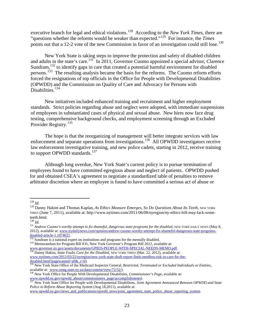executive branch for legal and ethical violations.<sup>[128](#page-22-0)</sup> According to the *New York Times*, there are "questions whether the reforms would be weaker than expected."[129](#page-22-1) For instance, the *Times*  points out that a 12-2 vote of the new Commission in favor of an investigation could still lose.<sup>[130](#page-22-2)</sup>

New York State is taking steps to improve the protection and safety of disabled children and adults in the state's care.<sup>[131](#page-22-3)</sup> In 2011, Governor Cuomo appointed a special advisor, Clarence Sundram,<sup>[132](#page-22-4)</sup> to identify gaps in care that created a potential harmful environment for disabled persons.<sup>133</sup> The resulting analysis became the basis for the reforms. The Cuomo reform efforts forced the resignations of top officials in the Office for People with Developmental Disabilities (OPWDD) and the Commission on Quality of Care and Advocacy for Persons with Disabilities.<sup>[134](#page-22-6)</sup>

New initiatives included enhanced training and recruitment and higher employment standards. Strict policies regarding abuse and neglect were adopted, with immediate suspensions of employees in substantiated cases of physical and sexual abuse. New hires now face drug testing, comprehensive background checks, and employment screening through an Excluded Provider Registry.<sup>[135](#page-22-7)</sup>

The hope is that the reorganizing of management will better integrate services with law enforcement and separate operations from investigations.<sup>[136](#page-22-8)</sup> All OPWDD investigators receive law enforcement investigative training, and new police cadets, starting in 2012, receive training to support OPWDD standards.<sup>[137](#page-22-9)</sup>

Although long overdue, New York State's current policy is to pursue termination of employees found to have committed egregious abuse and neglect of patients. OPWDD pushed for and obtained CSEA's agreement to negotiate a standardized table of penalties to remove arbitrator discretion where an employee is found to have committed a serious act of abuse or

<span id="page-22-0"></span> <sup>128</sup> *Id.*

<span id="page-22-1"></span><sup>&</sup>lt;sup>129</sup> Danny Hakim and Thomas Kaplan, *As Ethics Measure Emerges, So Do Questions About Its Teeth*, NEW YORK TIMES (June 7, 2011), available at: http://www.nytimes.com/2011/06/08/nyregion/ny-ethics-bill-may-lack-some-

<span id="page-22-3"></span>

<span id="page-22-2"></span>teeth.html.<br><sup>130</sup> *Id.*<br><sup>131</sup> Andrew Cuomo's worthy attempt to fix shameful, dangerous state programs for the disabled, NEW YORK DAILY NEWS (May 8, 2012), available at: [www.nydailynews.com/opinion/andrew-cuomo-worthy-attempt-fix-shameful-dangerous-state-programs](http://www.nydailynews.com/opinion/andrew-cuomo-worthy-attempt-fix-shameful-dangerous-state-programs-disabled-article-1.1074021)[disabled-article-1.1074021.](http://www.nydailynews.com/opinion/andrew-cuomo-worthy-attempt-fix-shameful-dangerous-state-programs-disabled-article-1.1074021)<br>
<sup>[132](http://www.nydailynews.com/opinion/andrew-cuomo-worthy-attempt-fix-shameful-dangerous-state-programs-disabled-article-1.1074021)</sup> Sundram is a national expert on institutions and programs for the mentally disabled.<br>
<sup>133</sup> Memorandum for Program Bill #35, New York Governor's Program Bill 2012, available at:

<span id="page-22-4"></span>

<span id="page-22-6"></span><span id="page-22-5"></span>www.governor.ny.gov/assets/documents/GPB35-PEOPLE-WITH-SPECIAL-NEEDS-MEMO.pdf. 134 Danny Hakim, *State Faults Care for the Disabled*, NEW YORK TIMES (Mar. 22, 2012), available at: [www.nytimes.com/2012/03/22/nyregion/new-york-state-draft-report-finds-needless-risk-in-care-for-the](http://www.nytimes.com/2012/03/22/nyregion/new-york-state-draft-report-finds-needless-risk-in-care-for-the-disabled.html?pagewanted=all&_r=0)[disabled.html?pagewanted=all&\\_r=0\)](http://www.nytimes.com/2012/03/22/nyregion/new-york-state-draft-report-finds-needless-risk-in-care-for-the-disabled.html?pagewanted=all&_r=0).<br>
<sup>[135](http://www.nytimes.com/2012/03/22/nyregion/new-york-state-draft-report-finds-needless-risk-in-care-for-the-disabled.html?pagewanted=all&_r=0)</sup> New York State Office of the Medicaid Inspector General, *Restricted, Terminated or Excluded Individuals or Entities*,

<span id="page-22-7"></span>available at: www.omig.state.ny.us/data/content/view/72/52/). 136 New York Office for People With Developmental Disabilities, *Commissioner's Page*, available at:

<span id="page-22-9"></span><span id="page-22-8"></span>www.opwdd.ny.gov/opwdd\_about/commissioners\_page/accomplishments). 137 New York State Office for People with Developmental Disabilities, *Joint Agreement Announced Between OPWDD and State Police to Reform Abuse Reporting System (Aug 18,2011), available at:* 

www.opwdd.ny.gov/news\_and\_publications/opwdd\_news/joint\_agreement\_state\_police\_abuse\_reporting\_system.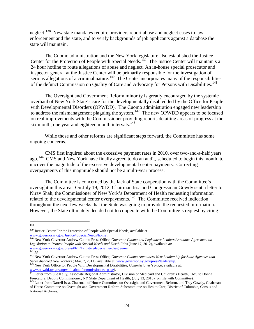neglect.<sup>[138](#page-23-0)</sup> New state mandates require providers report abuse and neglect cases to law enforcement and the state, and to verify backgrounds of job applicants against a database the state will maintain.

The Cuomo administration and the New York legislature also established the Justice Center for the Protection of People with Special Needs.<sup>[139](#page-23-1)</sup> The Justice Center will maintain s a 24 hour hotline to route allegations of abuse and neglect. An in-house special prosecutor and inspector general at the Justice Center will be primarily responsible for the investigation of serious allegations of a criminal nature.<sup>[140](#page-23-2)</sup> The Center incorporates many of the responsibilities of the defunct Commission on Quality of Care and Advocacy for Persons with Disabilities.<sup>[141](#page-23-3)</sup>

The Oversight and Government Reform minority is greatly encouraged by the systemic overhaul of New York State's care for the developmentally disabled led by the Office for People with Developmental Disorders (OPWDD). The Cuomo administration engaged new leadership to address the mismanagement plaguing the system.<sup>142</sup> The new OPWDD appears to be focused on real improvements with the Commissioner providing reports detailing areas of progress at the six month, one year and eighteen month intervals.<sup>143</sup>

While those and other reforms are significant steps forward, the Committee has some ongoing concerns.

CMS first inquired about the excessive payment rates in 2010, over two-and-a-half years ago.<sup>[144](#page-23-6)</sup> CMS and New York have finally agreed to do an audit, scheduled to begin this month, to uncover the magnitude of the excessive developmental center payments. Correcting overpayments of this magnitude should not be a multi-year process.

The Committee is concerned by the lack of State cooperation with the Committee's oversight in this area. On July 19, 2012, Chairman Issa and Congressman Gowdy sent a letter to Nirav Shah, the Commissioner of New York's Department of Health requesting information related to the developmental center overpayments.<sup>[145](#page-23-7)</sup> The Committee received indication throughout the next few weeks that the State was going to provide the requested information. However, the State ultimately decided not to cooperate with the Committee's request by citing

<span id="page-23-0"></span> <sup>138</sup>

<sup>139</sup> Justice Center For the Protection of People with Special Needs, available at*:* 

<span id="page-23-2"></span><span id="page-23-1"></span>[www.governor.ny.gov/Justice4SpecialNeeds/home\)](http://www.governor.ny.gov/Justice4SpecialNeeds/home).<br><sup>140</sup> New York Governor Andrew Cuomo Press Office, *Governor Cuomo and Legislative Leaders Announce Agreement on Legislation to Protect People with Special Needs and Disabilities* (June 17, 2012), available at:<br>
<u>www.governor.ny.gov/press/061712justice4specialneedsagreement</u>.

<span id="page-23-4"></span><span id="page-23-3"></span><sup>&</sup>lt;sup>142</sup> New York Governor Andrew Cuomo Press Office, Governor Cuomo Announces New Leadership for State Agencies that *Serve disabled New Yorkers* (Mar. 7, 2011), available at: [www.governor.ny.gov/press/leadership.](http://www.governor.ny.gov/press/leadership)<br>
<sup>143</sup> New York Office for People With Developmental Disabilities, *Commissioner's Page*, available at:

<span id="page-23-6"></span><span id="page-23-5"></span>www.opwdd.ny.gov/opwdd\_about/commissioners\_page).<br><sup>144</sup> Letter from Sue Kelly, Associate Regional Administrator, Division of Medicaid and Children's Health, CMS to Donna<br>Frescatore, Deputy Commissioner, NY State Department

<span id="page-23-7"></span><sup>&</sup>lt;sup>145</sup> Letter from Darrell Issa, Chairman of House Committee on Oversight and Government Reform, and Trey Gowdy, Chairman of House Committee on Oversight and Government Reform Subcommittee on Health Care, District of Columbia, Census and National Archives.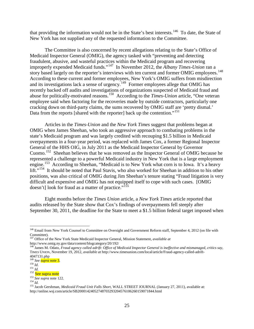that providing the information would not be in the State's best interests.<sup>[146](#page-24-0)</sup> To date, the State of New York has not supplied any of the requested information to the Committee.

The Committee is also concerned by recent allegations relating to the State's Office of Medicaid Inspector General (OMIG), the agency tasked with "preventing and detecting fraudulent, abusive, and wasteful practices within the Medicaid program and recovering improperly expended Medicaid funds."[147](#page-24-1) In November 2012, the *Albany Times-Union* ran a story based largely on the reporter's interviews with ten current and former OMIG employees.<sup>148</sup> According to these current and former employees, New York's OMIG suffers from misdirection and its investigations lack a sense of urgency.<sup>[149](#page-24-3)</sup> Former employees allege that OMIG has recently backed off audits and investigations of organizations suspected of Medicaid fraud and abuse for politically-motivated reasons. [150](#page-24-4) According to the *Times-Union* article, "One veteran employee said when factoring for the recoveries made by outside contractors, particularly one cracking down on third-party claims, the sums recovered by OMIG staff are 'pretty dismal.' Data from the reports [shared with the reporter] back up the contention."<sup>[151](#page-24-5)</sup>

Articles in the *Times-Union* and the *New York Times* suggest that problems began at OMIG when James Sheehan, who took an aggressive approach to combating problems in the state's Medicaid program and was largely credited with recouping \$1.5 billion in Medicaid overpayments in a four-year period, was replaced with James Cox, a former Regional Inspector General of the HHS OIG, in July 2011 as the Medicaid Inspector General by Governor Cuomo. [152](#page-24-6) Sheehan believes that he was removed as the Inspector General of OMIG because he represented a challenge to a powerful Medicaid industry in New York that is a large employment engine.[153](#page-24-7) According to Sheehan, "Medicaid is to New York what corn is to Iowa. It's a heavy lift."<sup>[154](#page-24-8)</sup> It should be noted that Paul Stavis, who also worked for Sheehan in addition to his other positions, was also critical of OMIG during Jim Sheehan's tenure stating "Fraud litigation is very difficult and expensive and OMIG has not equipped itself to cope with such cases. [OMIG doesn't] look for fraud as a matter of practice."<sup>[155](#page-24-9)</sup>

Eight months before the *Times Union* article, a *New York Times* article reported that audits released by the State show that Cox's findings of overpayments fell steeply after September 30, 2011, the deadline for the State to meet a \$1.5 billion federal target imposed when

<sup>&</sup>lt;sup>146</sup> Email from New York Counsel to Committee on Oversight and Government Reform staff, September 4, 2012 (on file with

<span id="page-24-1"></span><span id="page-24-0"></span>Committee). 147 Office of the New York State Medicaid Inspector General, Mission Statement, *available at* http://www.omig.ny.gov/data/content/blogcategory/20/192/

<span id="page-24-2"></span><sup>148</sup> James M. Odato, *Fraud agency called adrift: Office of Medicaid Inspector General is ineffective and mismanaged, critics say*, TIMES UNION, November 19, 2012, *available at* http://www.timesunion.com/local/article/Fraud-agency-called-adrift-

<sup>4047131.</sup>php<br><sup>149</sup> See **supra note 3**.

<span id="page-24-5"></span>

<span id="page-24-7"></span><span id="page-24-6"></span>

<span id="page-24-9"></span><span id="page-24-8"></span>

<span id="page-24-4"></span><span id="page-24-3"></span><sup>&</sup>lt;sup>150</sup> *Id.*<br>
<sup>151</sup> *Id.*<br>
<sup>152</sup> **See supra note**<br>
<sup>152</sup> **See supra note**<br>
<sup>152</sup> *See supra* note 122.<br>
<sup>154</sup> *Id.*<br>
<sup>154</sup> *Id.*<br>
<sup>154</sup> *Id.*<br>
<sup>154</sup> *Id.*<br>
<sup>155</sup> Jacob Gershman, *Medicaid Fraud Unit Falls Short*, WALL STRE http://online.wsj.com/article/SB20001424052748703293204576106260159071844.html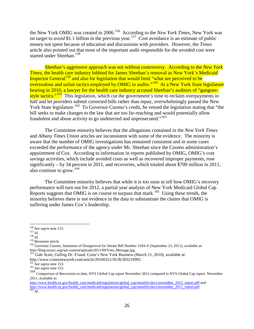the New York OMIG was created in 2006. [156](#page-25-0) According to the *New York Times*, New York was on target to *avoid* \$1.1 billion in the previous year.<sup>[157](#page-25-1)</sup> Cost avoidance is an estimate of public money not spent because of education and discussions with providers. However, the *Times*  article also pointed out that most of the important audit responsible for the avoided cost were started under Sheehan.<sup>158</sup>

Sheehan's aggressive approach was not without controversy. According to the *New York Times*, the health care industry lobbied for James Sheehan's removal as New York's Medicaid Inspector General<sup>[159](#page-25-3)</sup> and also for legislation that would limit "what are perceived to be overzealous and unfair tactics employed by OMIG in audits."<sup>[160](#page-25-4)</sup> At a New York State legislature hearing in 2010, a lawyer for the health care industry accused Sheehan's auditors of "gangster-style tactics."<sup>[161](#page-25-5)</sup> This legislation, which cut the government's time to reclaim overpayments in half and let providers submit corrected bills rather than repay, overwhelmingly passed the New York State legislature.<sup>[162](#page-25-6)</sup> To Governor Cuomo's credit, he vetoed the legislation stating that "the bill seeks to make changes to the law that are too far-reaching and would potentially allow fraudulent and abuse activity to go undetected and unprosecuted."<sup>163</sup>

The Committee minority believes that the allegations contained in the *New York Times*  and *Albany Times Union* articles are inconsistent with some of the evidence. The minority is aware that the number of OMIG investigations has remained consistent and in some cases exceeded the performance of the agency under Mr. Sheehan since the Cuomo administration's appointment of Cox. According to information in reports published by OMIG, OMIG's cost savings activities, which include avoided costs as well as recovered improper payments, rose significantly – by 34 percent in 2011, and recoveries, which totaled about \$700 million in 2011, also continue to grow.  $164$ 

The Committee minority believes that while it is too soon to tell how OMIG's recovery performance will turn out for 2012, a partial year analysis of New York Medicaid Global Cap Reports suggests that OMIG is on course to surpass that mark.<sup>[165](#page-25-9)</sup> Using these trends, the minority believes there is not evidence in the data to substantiate the claims that OMIG is suffering under James Cox's leadership.

- 
- <span id="page-25-2"></span>

<span id="page-25-4"></span><span id="page-25-3"></span>

<span id="page-25-1"></span><span id="page-25-0"></span><sup>&</sup>lt;sup>156</sup> *See supra* note 125.<br><sup>157</sup> *Id.*<br><sup>159</sup> Bernstein article<br><sup>160</sup> Governor Cuomo, Statement of Disapproval for Senate Bill Number 3184-A (September 23, 2011), available at: http://blog.nysarc.org/wp-content/uploads/2011/09/Veto\_Message.jpg. <sup>161</sup> Gale Scott, *Calling Dr. Fraud*, Crain's New York Business (March 21, 2010), available at:

<span id="page-25-5"></span>http://www.crainsnewyork.com/article/20100321/SUB/303219992<br><sup>162</sup> See supra note 153.

<span id="page-25-7"></span><span id="page-25-6"></span><sup>162</sup> *See supra* note 153. <sup>163</sup> *See supra* note 153.

<span id="page-25-8"></span><sup>164</sup> Comparison of Recoveries to date, NYS Global Cap report November 2012 compared to NYS Global Cap report November 2011, available at:

<span id="page-25-9"></span>[http://www.health.ny.gov/health\\_care/medicaid/regulations/global\\_cap/monthly/docs/november\\_2012\\_report.pdf](http://www.health.ny.gov/health_care/medicaid/regulations/global_cap/monthly/docs/november_2012_report.pdf) and [http://www.health.ny.gov/health\\_care/medicaid/regulations/global\\_cap/monthly/docs/november\\_2011\\_report.pdf](http://www.health.ny.gov/health_care/medicaid/regulations/global_cap/monthly/docs/november_2011_report.pdf) <sup>165</sup> *Id.*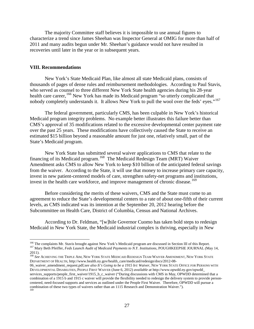The majority Committee staff believes it is impossible to use annual figures to characterize a trend since James Sheehan was Inspector General at OMIG for more than half of 2011 and many audits begun under Mr. Sheehan's guidance would not have resulted in recoveries until later in the year or in subsequent years.

#### **VIII. Recommendations**

New York's State Medicaid Plan, like almost all state Medicaid plans, consists of thousands of pages of dense rules and reimbursement methodologies. According to Paul Stavis, who served as counsel to three different New York State health agencies during his 28-year health care career, <sup>[166](#page-26-0)</sup> New York has made its Medicaid program "so utterly complicated that nobody completely understands it. It allows New York to pull the wool over the feds' eyes."<sup>[167](#page-26-1)</sup>

The federal government, particularly CMS, has been culpable in New York's historical Medicaid program integrity problems. No example better illustrates this failure better than CMS's approval of 35 modifications related to the excessive developmental center payment rate over the past 25 years. These modifications have collectively caused the State to receive an estimated \$15 billion beyond a reasonable amount for just one, relatively small, part of the State's Medicaid program.

New York State has submitted several waiver applications to CMS that relate to the financing of its Medicaid program.[168](#page-26-2)The Medicaid Redesign Team (MRT) Waiver Amendment asks CMS to allow New York to keep \$10 billion of the anticipated federal savings from the waiver. According to the State, it will use that money to increase primary care capacity, invest in new patient-centered models of care, strengthen safety-net programs and institutions, invest in the health care workforce, and improve management of chronic disease.<sup>[169](#page-26-3)</sup>

Before considering the merits of these waivers, CMS and the State must come to an agreement to reduce the State's developmental centers to a rate of about one-fifth of their current levels, as CMS indicated was its intention at the September 20, 2012 hearing before the Subcommittee on Health Care, District of Columbia, Census and National Archives.

According to Dr. Feldman, "[w]hile Governor Cuomo has taken bold steps to redesign Medicaid in New York State, the Medicaid industrial complex is thriving, especially in New

<span id="page-26-1"></span><span id="page-26-0"></span><sup>&</sup>lt;sup>166</sup> The complaints Mr. Stavis brought against New York's Medicaid program are discussed in Section III of this Report.<br><sup>167</sup> Mary Beth Pfeiffer, *Feds Launch Audit of Medicaid Payments to N.Y. Institutions*, POUGHKEEPSI 2011). <sup>168</sup> *See* ACHIEVING THE TRIPLE AIM, NEW YORK STATE MEDICAID REDESIGN TEAM WAIVER AMENDMENT, NEW YORK STATE

<span id="page-26-2"></span>DEPARTMENT OF HEALTH, [http://www.health.ny.gov/health\\_care/medicaid/redesign/docs/2012-08-](http://www.health.ny.gov/health_care/medicaid/redesign/docs/2012-08-06_waiver_amendment_request.pdf;see)

<span id="page-26-3"></span>[<sup>06</sup>\\_waiver\\_amendment\\_request.pdf](http://www.health.ny.gov/health_care/medicaid/redesign/docs/2012-08-06_waiver_amendment_request.pdf;see)*;see also It's Going to be a 1915 b/c Waiver*, NEW YORK STATE OFFICE FOR PERSONS WITH DEVELOPMENTAL DISABILITIES, PEOPLE FIRST WAIVER (June 6, 2012) *available at* [http://www.opwdd.ny.gov/opwdd\\_](http://www.opwdd.ny.gov/opwdd_) services\_supports/people\_first\_waiver/1915\_b\_c\_waiver ("During discussions with CMS in May, OPWDD determined that a combination of a 1915 b and 1915 c waiver will provide the flexibility needed to redesign the delivery system to provide personcentered, need-focused supports and services as outlined under the People First Waiver. Therefore, OPWDD will pursue a combination of these two types of waivers rather than an 1115 Research and Demonstration Waiver.").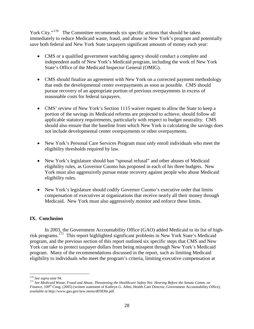York City."<sup>[170](#page-27-0)</sup> The Committee recommends six specific actions that should be taken immediately to reduce Medicaid waste, fraud, and abuse in New York's program and potentially save both federal and New York State taxpayers significant amounts of money each year:

- CMS or a qualified government watchdog agency should conduct a complete and independent audit of New York's Medicaid program, including the work of New York State's Office of the Medicaid Inspector General (OMIG).
- CMS should finalize an agreement with New York on a corrected payment methodology that ends the developmental center overpayments as soon as possible. CMS should pursue recovery of an appropriate portion of previous overpayments in excess of reasonable costs for federal taxpayers.
- CMS' review of New York's Section 1115 waiver request to allow the State to keep a portion of the savings its Medicaid reforms are projected to achieve, should follow all applicable statutory requirements, particularly with respect to budget neutrality. CMS should also ensure that the baseline from which New York is calculating the savings does not include developmental center overpayments or other overpayments.
- New York's Personal Care Services Program must only enroll individuals who meet the eligibility thresholds required by law.
- New York's legislature should ban "spousal refusal" and other abuses of Medicaid eligibility rules, as Governor Cuomo has proposed in each of his three budgets. New York must also aggressively pursue estate recovery against people who abuse Medicaid eligibility rules.
- New York's legislature should codify Governor Cuomo's executive order that limits compensation of executives at organizations that receive nearly all their money through Medicaid. New York must also aggressively monitor and enforce these limits.

# **IX. Conclusion**

In 2003, the Government Accountability Office (GAO) added Medicaid to its list of high-risk programs.<sup>[171](#page-27-1)</sup> This report highlighted significant problems in New York State's Medicaid program, and the previous section of this report outlined six specific steps that CMS and New York can take to protect taxpayer dollars from being misspent through New York's Medicaid program. Many of the recommendations discussed in the report, such as limiting Medicaid eligibility to individuals who meet the program's criteria, limiting executive compensation at

<span id="page-27-0"></span> <sup>170</sup> *See supra* note 94.

<span id="page-27-1"></span><sup>171</sup> *See Medicaid Waste, Fraud and Abuse, Threatening the Healthcare Safety Net: Hearing Before the Senate Comm. on Finance*, 109<sup>th</sup> Cong. (2005) (written statement of Kathryn G. Allen, Health Care Director, Government Accountability Office), *available at* [http://www.gao.gov/new.items/d05836t.pdf.](http://www.gao.gov/new.items/d05836t.pdf)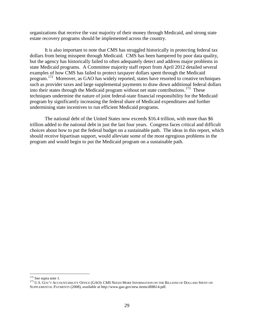organizations that receive the vast majority of their money through Medicaid, and strong state estate recovery programs should be implemented across the country.

It is also important to note that CMS has struggled historically in protecting federal tax dollars from being misspent through Medicaid. CMS has been hampered by poor data quality, but the agency has historically failed to often adequately detect and address major problems in state Medicaid programs. A Committee majority staff report from April 2012 detailed several examples of how CMS has failed to protect taxpayer dollars spent through the Medicaid program.[172](#page-28-0) Moreover, as GAO has widely reported, states have resorted to creative techniques such as provider taxes and large supplemental payments to draw down additional federal dollars into their states through the Medicaid program without net state contributions.<sup>173</sup> These techniques undermine the nature of joint federal-state financial responsibility for the Medicaid program by significantly increasing the federal share of Medicaid expenditures and further undermining state incentives to run efficient Medicaid programs.

The national debt of the United States now exceeds \$16.4 trillion, with more than \$6 trillion added to the national debt in just the last four years. Congress faces critical and difficult choices about how to put the federal budget on a sustainable path. The ideas in this report, which should receive bipartisan support, would alleviate some of the most egregious problems in the program and would begin to put the Medicaid program on a sustainable path.

<span id="page-28-1"></span><span id="page-28-0"></span><sup>&</sup>lt;sup>172</sup> See supra note 1.<br><sup>173</sup> U.S. Gov't Accountability Office (GAO): CMS Needs More Information on the Billions of Dollars Spent on SUPPLEMENTAL PAYMENTS (2008), *available at* [http://www.gao.gov/new.items/d08614.pdf.](http://www.gao.gov/new.items/d08614.pdf)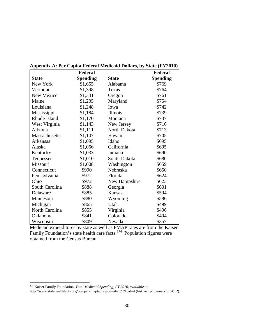|                 | Federal         |                 | Federal         |
|-----------------|-----------------|-----------------|-----------------|
| <b>State</b>    | <b>Spending</b> | <b>State</b>    | <b>Spending</b> |
| New York        | \$1,655         | Alabama         | \$769           |
| Vermont         | \$1,398         | Texas           | \$764           |
| New Mexico      | \$1,341         | Oregon          | \$761           |
| Maine           | \$1,295         | Maryland        | \$754           |
| Louisiana       | \$1,248         | Iowa            | \$742           |
| Mississippi     | \$1,184         | <b>Illinois</b> | \$739           |
| Rhode Island    | \$1,170         | Montana         | \$737           |
| West Virginia   | \$1,143         | New Jersey      | \$716           |
| Arizona         | \$1,111         | North Dakota    | \$713           |
| Massachusetts   | \$1,107         | Hawaii          | \$705           |
| <b>Arkansas</b> | \$1,095         | Idaho           | \$695           |
| Alaska          | \$1,056         | California      | \$695           |
| Kentucky        | \$1,033         | Indiana         | \$690           |
| Tennessee       | \$1,010         | South Dakota    | \$680           |
| Missouri        | \$1,008         | Washington      | \$659           |
| Connecticut     | \$990           | Nebraska        | \$650           |
| Pennsylvania    | \$972           | Florida         | \$624           |
| Ohio            | \$972           | New Hampshire   | \$623           |
| South Carolina  | \$888           | Georgia         | \$601           |
| Delaware        | \$885           | <b>Kansas</b>   | \$594           |
| Minnesota       | \$880           | Wyoming         | \$586           |
| Michigan        | \$865           | Utah            | \$499           |
| North Carolina  | \$855           | Virginia        | \$496           |
| Oklahoma        | \$841           | Colorado        | \$494           |
| Wisconsin       | \$809           | Nevada          | \$357           |

**Appendix A: Per Capita Federal Medicaid Dollars, by State (FY2010)**

Medicaid expenditures by state as well as FMAP rates are from the Kaiser Family Foundation's state health care facts.<sup>[174](#page-29-0)</sup> Population figures were obtained from the Census Bureau.

<span id="page-29-0"></span> <sup>174</sup> Kaiser Family Foundation, *Total Medicaid Spending, FY 2010, available at* 

<http://www.statehealthfacts.org/comparemaptable.jsp?ind=177&cat=4> (last visited January 3, 2012).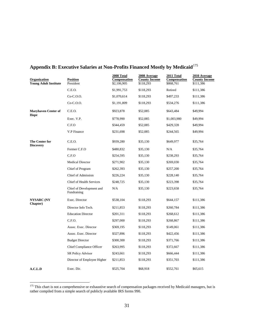| Organization<br><b>Young Adult Institute</b> | <b>Position</b><br>President            | 2008 Total<br>Compensation<br>\$2,106,905 | 2008 Average<br><b>County Income</b><br>\$118,293 | 2011 Total<br>Compensation<br>\$868,761 | 2010 Average<br><b>County Income</b><br>\$111,386 |
|----------------------------------------------|-----------------------------------------|-------------------------------------------|---------------------------------------------------|-----------------------------------------|---------------------------------------------------|
|                                              | C.E.O.                                  | \$1,991,753                               | \$118,293                                         | Retired                                 | \$111,386                                         |
|                                              | $Co-C.0.0.$                             | \$1,070,614                               | \$118,293                                         | \$497,233                               | \$111,386                                         |
|                                              | $Co-C.0.0.$                             | \$1,191,809                               | \$118,293                                         | \$534,276                               | \$111,386                                         |
| <b>Maryhaven Center of</b><br>Hope           | C.E.O.                                  | \$923,878                                 | \$52,085                                          | \$643,484                               | \$49,994                                          |
|                                              | Exec. V.P.                              | \$778,990                                 | \$52,085                                          | \$1,003,980                             | \$49,994                                          |
|                                              | C.F.O                                   | \$344,459                                 | \$52,085                                          | \$429,328                               | \$49,994                                          |
|                                              | V.P Finance                             | \$231,698                                 | \$52,085                                          | \$244,565                               | \$49,994                                          |
| The Center for<br><b>Discovery</b>           | C.E.O.                                  | \$939,280                                 | \$35,130                                          | \$649,977                               | \$35,764                                          |
|                                              | Former C.F.O                            | \$480,832                                 | \$35,130                                          | N/A                                     | \$35,764                                          |
|                                              | C.F.O                                   | \$254,595                                 | \$35,130                                          | \$238,293                               | \$35,764                                          |
|                                              | <b>Medical Director</b>                 | \$271,902                                 | \$35,130                                          | \$269,030                               | \$35,764                                          |
|                                              | Chief of Program                        | \$262,393                                 | \$35,130                                          | \$257,200                               | \$35,764                                          |
|                                              | Chief of Admission                      | \$226,224                                 | \$35,130                                          | \$228,140                               | \$35,764                                          |
|                                              | Chief of Health Services                | \$248,725                                 | \$35,130                                          | \$223,398                               | \$35,764                                          |
|                                              | Chief of Development and<br>Fundraising | N/A                                       | \$35,130                                          | \$223,658                               | \$35,764                                          |
| <b>NYSARC</b> (NY                            | Exec. Director                          | \$538,104                                 | \$118,293                                         | \$644,157                               | \$111,386                                         |
| Chapter)                                     | Director Info Tech.                     | \$211,853                                 | \$118,293                                         | \$260,784                               | \$111,386                                         |
|                                              | <b>Education Director</b>               | \$201,311                                 | \$118,293                                         | \$268,612                               | \$111,386                                         |
|                                              | C.F.O.                                  | \$297,000                                 | \$118,293                                         | \$268,867                               | \$111,386                                         |
|                                              | Assoc. Exec. Director                   | \$369,195                                 | \$118,293                                         | \$149,061                               | \$111,386                                         |
|                                              | Assoc. Exec. Director                   | \$327,896                                 | \$118,293                                         | \$422,456                               | \$111,386                                         |
|                                              | <b>Budget Director</b>                  | \$300,300                                 | \$118,293                                         | \$371,766                               | \$111,386                                         |
|                                              | Chief Compliance Officer                | \$263,995                                 | \$118,293                                         | \$372,667                               | \$111,386                                         |
|                                              | <b>SR Policy Advisor</b>                | \$243,661                                 | \$118,293                                         | \$666,444                               | \$111,386                                         |
|                                              | Director of Employee Higher             | \$211,853                                 | \$118,293                                         | \$351,703                               | \$111,386                                         |
| A.C.L.D                                      | Exec. Dir.                              | \$525,704                                 | \$68,918                                          | \$552,761                               | \$65,615                                          |

# **Appendix B: Executive Salaries at Non-Profits Financed Mostly by Medicaid**[175](#page-30-0)

<span id="page-30-0"></span><sup>175</sup> This chart is not a comprehensive or exhaustive search of compensation packages received by Medicaid managers, but is rather compiled from a simple search of publicly available IRS forms 990.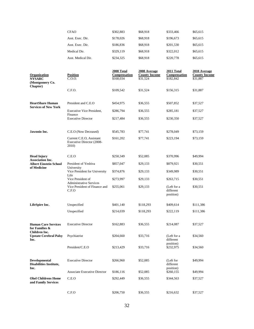|                                                               | <b>CFAO</b>                                                              | \$302,883                               | \$68,918                                         | \$333,466                               | \$65,615                                         |
|---------------------------------------------------------------|--------------------------------------------------------------------------|-----------------------------------------|--------------------------------------------------|-----------------------------------------|--------------------------------------------------|
|                                                               | Asst. Exec. Dir.                                                         | \$178,026                               | \$68,918                                         | \$196,673                               | \$65,615                                         |
|                                                               | Asst. Exec. Dir.                                                         | \$186,836                               | \$68,918                                         | \$201,530                               | \$65,615                                         |
|                                                               | Medical Dir.                                                             | \$329,119                               | \$68,918                                         | \$322,012                               | \$65,615                                         |
|                                                               | Asst. Medical Dir.                                                       | \$234,325                               | \$68,918                                         | \$220,778                               | \$65,615                                         |
| Organization<br><b>NYSARC</b><br>(Montgomery Co.              | <b>Position</b><br>C.O.O.                                                | 2008 Total<br>Compensation<br>\$168,034 | 2008 Average<br><b>County Income</b><br>\$31,524 | 2011 Total<br>Compensation<br>\$182,842 | 2010 Average<br><b>County Income</b><br>\$31,887 |
| Chapter)                                                      | C.F.O.                                                                   | \$109,542                               | \$31,524                                         | \$156,315                               | \$31,887                                         |
| <b>HeartShare Human</b><br><b>Services of New York</b>        | President and C.E.O                                                      | \$454,975                               | \$36,555                                         | \$507,852                               | \$37,527                                         |
|                                                               | <b>Executive Vice President,</b><br>Finance                              | \$286,794                               | \$36,555                                         | \$285,181                               | \$37,527                                         |
|                                                               | <b>Executive Director</b>                                                | \$217,484                               | \$36,555                                         | \$230,350                               | \$37,527                                         |
| Jawonio Inc.                                                  | C.E.O (Now Deceased)                                                     | \$545,783                               | \$77,741                                         | \$278,049                               | \$73,159                                         |
|                                                               | Current C.E.O, Assistant<br>Executive Director (2008-<br>2010)           | \$161,202                               | \$77,741                                         | \$223,194                               | \$73,159                                         |
| <b>Head Injury</b><br><b>Association Inc.</b>                 | C.E.O                                                                    | \$250,349                               | \$52,085                                         | \$370,996                               | \$49,994                                         |
| <b>Albert Einstein School</b>                                 | President of Yeshiva<br>University                                       | \$857,047                               | \$29,133                                         | \$879,921                               | \$30,551                                         |
| of Medicine                                                   | Vice President for University                                            | \$374,876                               | \$29,133                                         | \$349,989                               | \$30,551                                         |
|                                                               | Life<br>Vice President of                                                | \$273,997                               | \$29,133                                         | \$263,715                               | \$30,551                                         |
|                                                               | <b>Administrative Services</b><br>Vice President of Finance and<br>C.F.O | \$255,061                               | \$29,133                                         | (Left for a<br>different<br>position)   | \$30,551                                         |
| LifeSpire Inc.                                                | Unspecified                                                              | \$401,140                               | \$118,293                                        | \$409,614                               | \$111,386                                        |
|                                                               | Unspecified                                                              | \$214,039                               | \$118,293                                        | \$222,119                               | \$111,386                                        |
| <b>Human Care Services</b><br>for Families &<br>Children Inc. | <b>Executive Director</b>                                                | \$162,883                               | \$36,555                                         | \$214,087                               | \$37,527                                         |
| <b>Upstate Cerebral Palsy</b><br>Inc.                         | Psychiatrist                                                             | \$204,660                               | \$33,716                                         | (Left for a<br>different                | \$34,560                                         |
|                                                               | President/C.E.O                                                          | \$213,429                               | \$33,716                                         | position)<br>\$232,975                  | \$34,560                                         |
| Developmental<br><b>Disabilities Institute,</b><br>Inc.       | <b>Executive Director</b>                                                | \$266,960                               | \$52,085                                         | (Left for<br>different<br>position)     | \$49,994                                         |
|                                                               | <b>Associate Executive Director</b>                                      | \$186,116                               | \$52,085                                         | \$260,155                               | \$49,994                                         |
| <b>Ohel Childrens Home</b><br>and Family Services             | C.E.O                                                                    | \$292,449                               | \$36,555                                         | \$344,563                               | \$37,527                                         |
|                                                               | C.F.O                                                                    | \$206,750                               | \$36,555                                         | \$216,632                               | \$37,527                                         |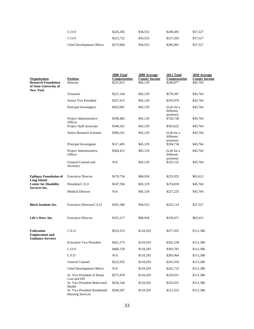| C.O.O                     | \$226,292 | \$36,555 | \$249,495 | \$37,527 |
|---------------------------|-----------|----------|-----------|----------|
| C.O.O                     | \$223,722 | \$36,555 | \$237.202 | \$37.527 |
| Chief Development Officer | \$275.904 | \$36,555 | \$285,981 | \$37.527 |

| Organization<br><b>Research Foundation</b><br>of State University of   | <b>Position</b><br>Director                               | 2008 Total<br>Compensation<br>\$231,812 | 2008 Average<br><b>County Income</b><br>\$45,129 | 2011 Total<br>Compensation<br>\$246,877 | 2010 Average<br><b>County Income</b><br>\$45,764 |
|------------------------------------------------------------------------|-----------------------------------------------------------|-----------------------------------------|--------------------------------------------------|-----------------------------------------|--------------------------------------------------|
| <b>New York</b>                                                        | Treasurer                                                 | \$221,164                               | \$45,129                                         | \$278,387                               | \$45,764                                         |
|                                                                        | Senior Vice President                                     | \$327,415                               | \$45,129                                         | \$293,976                               | \$45,764                                         |
|                                                                        | Principal Investigator                                    | \$432,001                               | \$45,129                                         | (Left for a<br>different<br>position)   | \$45,764                                         |
|                                                                        | Project Administrative<br>Officer                         | \$598,482                               | \$45,129                                         | \$726,728                               | \$45,764                                         |
|                                                                        | Project Staff Associate                                   | \$340,261                               | \$45,129                                         | \$363,622                               | \$45,764                                         |
|                                                                        | Senior Research Scientist                                 | \$306,241                               | \$45,129                                         | (Left for a<br>different<br>position)   | \$45,764                                         |
|                                                                        | Principal Investigator                                    | \$317,405                               | \$45,129                                         | \$294,734                               | \$45,764                                         |
|                                                                        | Project Administrative<br>Officer                         | \$304,415                               | \$45,129                                         | (Left for a<br>different<br>position)   | \$45,764                                         |
|                                                                        | General Counsel and<br>Secretary                          | N/A                                     | \$45,129                                         | \$325,152                               | \$45,764                                         |
| <b>Epilepsy Foundation of</b>                                          | <b>Executive Director</b>                                 | \$170,736                               | \$68,918                                         | \$255,925                               | \$65,615                                         |
| <b>Long Island</b><br><b>Center for Disability</b>                     | President/C.E.O                                           | \$247,394                               | \$45,129                                         | \$274,818                               | \$45,764                                         |
| Services Inc.                                                          | <b>Medical Director</b>                                   | N/A                                     | \$45,129                                         | \$227,235                               | \$45,764                                         |
| <b>Block Institute Inc.</b>                                            | Executive Director/C.E.O                                  | \$201,586                               | \$36,555                                         | \$225,114                               | \$37,527                                         |
| Life's Worc Inc.                                                       | <b>Executive Director</b>                                 | \$331,217                               | \$68,918                                         | \$328,471                               | \$65,615                                         |
| <b>Federation</b><br><b>Employment and</b><br><b>Guidance Services</b> | C.E.O                                                     | \$533,323                               | \$118,293                                        | \$477,925                               | \$111,386                                        |
|                                                                        | <b>Executive Vice President</b>                           | \$421,275                               | \$118,293                                        | \$362,538                               | \$111,386                                        |
|                                                                        | C.0.0                                                     | \$460,158                               | \$118,293                                        | \$303,781                               | \$111,386                                        |
|                                                                        | C.F.O                                                     | N/A                                     | \$118,293                                        | \$285,964                               | \$111,386                                        |
|                                                                        | <b>General Counsel</b>                                    | \$222,935                               | \$118,293                                        | \$261,919                               | \$111,386                                        |
|                                                                        | Chief Development Officer                                 | N/A                                     | \$118,293                                        | \$241,723                               | \$111,386                                        |
|                                                                        | Sr. Vice President of Home                                | \$271,870                               | \$118,293                                        | \$229,651                               | \$111,386                                        |
|                                                                        | Care and DD<br>Sr. Vice President Behavioral<br>Health    | \$256,144                               | \$118,293                                        | \$222,031                               | \$111,386                                        |
|                                                                        | Sr. Vice President Residential<br><b>Housing Services</b> | \$204,587                               | \$118,293                                        | \$211,523                               | \$111,386                                        |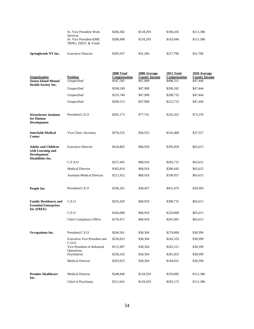| Springbrook NY Inc. | <b>Executive Director</b>                                        | \$205,937 | \$31,266  | \$217,706 | \$31,700  |
|---------------------|------------------------------------------------------------------|-----------|-----------|-----------|-----------|
|                     | <b>Services</b><br>Sr. Vice President-EMP.<br>TRNG, EDUC & Youth | \$206,998 | \$118.293 | \$163,046 | \$111,386 |
|                     | Sr. Vice President Work                                          | \$260,302 | \$118.293 | \$196.416 | \$111,386 |

| Organization<br><b>Staten Island Mental</b><br><b>Health Society Inc.</b>                         | <b>Position</b><br>Unspecified               | 2008 Total<br>Compensation<br>\$547,585 | 2008 Average<br><b>County Income</b><br>\$47,908 | 2011 Total<br>Compensation<br>\$498,311 | 2010 Average<br><b>County Income</b><br>\$47,444 |
|---------------------------------------------------------------------------------------------------|----------------------------------------------|-----------------------------------------|--------------------------------------------------|-----------------------------------------|--------------------------------------------------|
|                                                                                                   | Unspecified                                  | \$190,249                               | \$47,908                                         | \$209,342                               | \$47,444                                         |
|                                                                                                   | Unspecified                                  | \$233,740                               | \$47,908                                         | \$208,732                               | \$47,444                                         |
|                                                                                                   | Unspecified                                  | \$209,513                               | \$47,908                                         | \$223,753                               | \$47,444                                         |
| <b>Westchester Institute</b><br>for Human<br><b>Development</b>                                   | President/C.E.O                              | \$202,173                               | \$77,741                                         | \$242,422                               | \$73,159                                         |
| <b>Interfaith Medical</b><br>Center                                                               | Vice Chair, Secretary                        | \$378,525                               | \$36,555                                         | \$316,408                               | \$37,527                                         |
| <b>Adults and Children</b><br>with Learning and<br><b>Development</b><br><b>Disabilities Inc.</b> | <b>Executive Director</b>                    | \$418,865                               | \$68,918                                         | \$395,859                               | \$65,615                                         |
|                                                                                                   | C.F.A.O                                      | \$257,445                               | \$68,918                                         | \$283,731                               | \$65,615                                         |
|                                                                                                   | <b>Medical Director</b>                      | \$302,814                               | \$68,918                                         | \$286,645                               | \$65,615                                         |
|                                                                                                   | <b>Assistant Medical Director</b>            | \$211,912                               | \$68,918                                         | \$190,957                               | \$65,615                                         |
| People Inc.                                                                                       | President/C.E.O                              | \$196,261                               | \$38,437                                         | \$451,476                               | \$39,369                                         |
| <b>Family Residences and</b><br><b>Essential Enterprises</b><br>Inc (FREE)                        | C.E.O                                        | \$255,429                               | \$68,918                                         | \$308,731                               | \$65,615                                         |
|                                                                                                   | C.F.O                                        | \$166,000                               | \$68,918                                         | \$229,808                               | \$65,615                                         |
|                                                                                                   | <b>Chief Compliance Office</b>               | \$176,471                               | \$68,918                                         | \$201,081                               | \$65,615                                         |
| Occupations Inc.                                                                                  | President/C.E.O                              | \$266,561                               | \$38,304                                         | \$274,068                               | \$38,399                                         |
|                                                                                                   | <b>Executive Vice President and</b><br>C.0.0 | \$236,823                               | \$38,304                                         | \$242,333                               | \$38,399                                         |
|                                                                                                   | Vice President of Industrial<br>Operations   | \$115,497                               | \$38,304                                         | \$262,511                               | \$38,399                                         |
|                                                                                                   | Psychiatrist                                 | \$238,242                               | \$38,304                                         | \$281,823                               | \$38,399                                         |
|                                                                                                   | <b>Medical Director</b>                      | \$203,923                               | \$38,304                                         | \$194,815                               | \$38,399                                         |
| <b>Premier Healthcare</b><br>Inc.                                                                 | <b>Medical Director</b>                      | \$248,846                               | \$118,293                                        | \$259,882                               | \$111,386                                        |
|                                                                                                   | Chief of Psychiatry                          | \$211,641                               | \$118,293                                        | \$263,172                               | \$111,386                                        |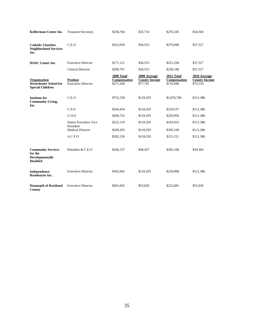| Kelberman Center Inc.                                                             | Treasurer/Secretary                          | \$258,704                               | \$33,716                                         | \$276,326                               | \$34,560                                         |
|-----------------------------------------------------------------------------------|----------------------------------------------|-----------------------------------------|--------------------------------------------------|-----------------------------------------|--------------------------------------------------|
| <b>Catholic Charities</b><br><b>Neighborhood Services</b><br>Inc.                 | C.E.O                                        | \$252,659                               | \$36,555                                         | \$279,948                               | \$37,527                                         |
| <b>HASC</b> Center Inc.                                                           | <b>Executive Director</b>                    | \$171,121                               | \$36,555                                         | \$221,294                               | \$37,527                                         |
|                                                                                   | <b>Clinical Director</b>                     | \$209,767                               | \$36,555                                         | \$236,198                               | \$37,527                                         |
| Organization<br><b>Westchester School for</b><br><b>Special Children</b>          | <b>Position</b><br><b>Executive Director</b> | 2008 Total<br>Compensation<br>\$271,430 | 2008 Average<br><b>County Income</b><br>\$77,741 | 2011 Total<br>Compensation<br>\$135,848 | 2010 Average<br><b>County Income</b><br>\$73,159 |
| <b>Institute for</b><br><b>Community Living,</b><br>Inc.                          | C.E.O                                        | \$752,330                               | \$118,293                                        | \$2,876,700                             | \$111,386                                        |
|                                                                                   | C.F.O                                        | \$244,434                               | \$118,293                                        | \$218,537                               | \$111,386                                        |
|                                                                                   | C.0.0                                        | \$266,752                               | \$118,293                                        | \$229,956                               | \$111,386                                        |
|                                                                                   | Senior Executive Vice<br>President           | \$222,110                               | \$118,293                                        | \$183,053                               | \$111,386                                        |
|                                                                                   | <b>Medical Director</b>                      | \$349,293                               | \$118,293                                        | \$305,338                               | \$111,386                                        |
|                                                                                   | A.C.F.O                                      | \$202,156                               | \$118,293                                        | \$121,211                               | \$111,386                                        |
| <b>Community Services</b><br>for the<br><b>Developmentally</b><br><b>Disabled</b> | President & C.E.O                            | \$166,137                               | \$38,437                                         | \$205,108                               | \$39,369                                         |
| Independence<br><b>Residencies Inc.</b>                                           | <b>Executive Director</b>                    | \$182,845                               | \$118,293                                        | \$218,008                               | \$111,386                                        |
| <b>Hamaspik of Rockland</b><br><b>County</b>                                      | <b>Executive Director</b>                    | \$201,602                               | \$53,826                                         | \$222,681                               | \$52,030                                         |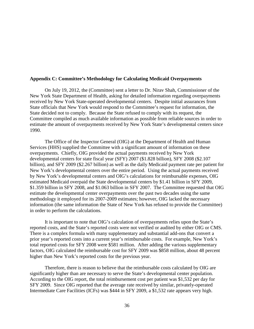#### **Appendix C: Committee's Methodology for Calculating Medicaid Overpayments**

On July 19, 2012, the (Committee) sent a letter to Dr. Nirav Shah, Commissioner of the New York State Department of Health, asking for detailed information regarding overpayments received by New York State-operated developmental centers. Despite initial assurances from State officials that New York would respond to the Committee's request for information, the State decided not to comply. Because the State refused to comply with its request, the Committee compiled as much available information as possible from reliable sources in order to estimate the amount of overpayments received by New York State's developmental centers since 1990.

The Office of the Inspector General (OIG) at the Department of Health and Human Services (HHS) supplied the Committee with a significant amount of information on these overpayments. Chiefly, OIG provided the actual payments received by New York developmental centers for state fiscal year (SFY) 2007 (\$1.828 billion), SFY 2008 (\$2.107 billion), and SFY 2009 (\$2.267 billion) as well as the daily Medicaid payment rate per patient for New York's developmental centers over the entire period. Using the actual payments received by New York's developmental centers and OIG's calculations for reimbursable expenses, OIG estimated Medicaid overpaid the State developmental centers by \$1.41 billion in SFY 2009, \$1.359 billion in SFY 2008, and \$1.063 billion in SFY 2007. The Committee requested that OIG estimate the developmental center overpayments over the past two decades using the same methodology it employed for its 2007-2009 estimates; however, OIG lacked the necessary information (the same information the State of New York has refused to provide the Committee) in order to perform the calculations.

It is important to note that OIG's calculation of overpayments relies upon the State's reported costs, and the State's reported costs were not verified or audited by either OIG or CMS. There is a complex formula with many supplementary and substantial add-ons that convert a prior year's reported costs into a current year's reimbursable costs. For example, New York's total reported costs for SFY 2008 were \$581 million. After adding the various supplementary factors, OIG calculated the reimbursable cost for SFY 2009 was \$858 million, about 48 percent higher than New York's reported costs for the previous year.

Therefore, there is reason to believe that the reimbursable costs calculated by OIG are significantly higher than are necessary to serve the State's developmental center population. According to the OIG report, the total reimbursement cost per patient was \$1,532 per day for SFY 2009. Since OIG reported that the average rate received by similar, privately-operated Intermediate Care Facilities (ICFs) was \$444 in SFY 2009, a \$1,532 rate appears very high.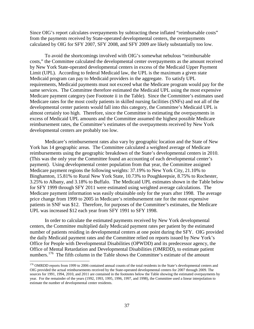Since OIG's report calculates overpayments by subtracting these inflated "reimbursable costs" from the payments received by State-operated developmental centers, the overpayments calculated by OIG for SFY 2007, SFY 2008, and SFY 2009 are likely substantially too low.

To avoid the shortcomings involved with OIG's somewhat nebulous "reimbursable costs," the Committee calculated the developmental center overpayments as the amount received by New York State-operated developmental centers in excess of the Medicaid Upper Payment Limit (UPL). According to federal Medicaid law, the UPL is the maximum a given state Medicaid program can pay to Medicaid providers in the aggregate. To satisfy UPL requirements, Medicaid payments must not exceed what the Medicare program would pay for the same services. The Committee therefore estimated the Medicaid UPL using the most expensive Medicare payment category (see Footnote ii in the Table). Since the Committee's estimates used Medicare rates for the most costly patients in skilled nursing facilities (SNFs) and not all of the developmental center patients would fall into this category, the Committee's Medicaid UPL is almost certainly too high. Therefore, since the Committee is estimating the overpayments in excess of Medicaid UPL amounts and the Committee assumed the highest possible Medicare reimbursement rates, the Committee's estimates of the overpayments received by New York developmental centers are probably too low.

Medicare's reimbursement rates also vary by geographic location and the State of New York has 14 geographic areas. The Committee calculated a weighted average of Medicare reimbursements using the geographic breakdown of the State's developmental centers in 2010. (This was the only year the Committee found an accounting of each developmental center's payment). Using developmental center population from that year, the Committee assigned Medicare payment regions the following weights: 37.19% to New York City, 21.10% to Binghamton, 15.81% to Rural New York State, 10.73% to Poughkeepsie, 8.75% to Rochester, 3.25% to Albany, and 3.18% to Buffalo. The Medicaid UPL estimates shown in the Table below for SFY 1999 through SFY 2011 were estimated using weighted average calculations. The Medicare payment information was easily obtainable only for the years after 1998. The average price change from 1999 to 2005 in Medicare's reimbursement rate for the most expensive patients in SNF was \$12. Therefore, for purposes of the Committee's estimates, the Medicare UPL was increased \$12 each year from SFY 1991 to SFY 1998.

In order to calculate the estimated payments received by New York developmental centers, the Committee multiplied daily Medicaid payment rates per patient by the estimated number of patients residing in developmental centers at one point during the SFY. OIG provided the daily Medicaid payment rates and the Committee relied on reports issued by New York's Office for People with Developmental Disabilities (OPWDD) and its predecessor agency, the Office of Mental Retardation and Developmental Disabilities (OMRDD), to estimate patient numbers.<sup>[176](#page-36-0)</sup> The fifth column in the Table shows the Committee's estimate of the amount

<span id="page-36-0"></span><sup>&</sup>lt;sup>176</sup> OMRDD reports from 1999 to 2006 contained annual counts of the total residents in the State's developmental centers and OIG provided the actual reimbursements received by the State-operated developmental centers for 2007 through 2009. The sources for 1991, 1994, 2010, and 2011 are contained in the footnotes below the Table showing the estimated overpayments by year. For the remainder of the years (1992, 1993, 1995, 1996, 1997, and 1998), the Committee used a linear interpolation to estimate the number of developmental center residents.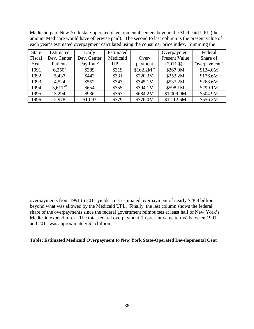Medicaid paid New York state-operated developmental centers beyond the Medicaid UPL (the amount Medicare would have otherwise paid). The second to last column is the present value of each year's estimated overpayment calculated using the consumer price index. Summing the

| <b>State</b> | Estimated              | Daily                 | Estimated           |                        | Overpayment                       | Federal                   |
|--------------|------------------------|-----------------------|---------------------|------------------------|-----------------------------------|---------------------------|
| Fiscal       | Dev. Center            | Dev. Center           | Medicaid            | Over-                  | <b>Present Value</b>              | Share of                  |
| Year         | Patients               | Pay Rate <sup>1</sup> | $UPL$ <sup>ii</sup> | payment                | $(2011 \text{ \$\})^{\text{iii}}$ | Overpayment <sup>iv</sup> |
| 1991         | $6.350^{\rm v}$        | \$389                 | \$319               | \$162.2M <sup>v1</sup> | \$267.9M                          | \$134.0M                  |
| 1992         | 5,437                  | \$442                 | \$331               | \$220.3M               | \$353.2M                          | \$176.6M                  |
| 1993         | 4,524                  | \$552                 | \$343               | \$345.1M               | \$537.2M                          | \$268.6M                  |
| 1994         | $3.611$ <sup>vii</sup> | \$654                 | \$355               | \$394.1M               | \$598.1M                          | \$299.1M                  |
| 1995         | 3,294                  | \$936                 | \$367               | \$684.2M               | \$1,009.9M                        | \$504.9M                  |
| 1996         | 2,978                  | \$1,093               | \$379               | \$776.0M               | \$1,112.6M                        | \$556.3M                  |

overpayments from 1991 to 2011 yields a net estimated overpayment of nearly \$28.8 billion beyond what was allowed by the Medicaid UPL. Finally, the last column shows the federal share of the overpayments since the federal government reimburses at least half of New York's Medicaid expenditures. The total federal overpayment (in present value terms) between 1991 and 2011 was approximately \$15 billion.

# **Table: Estimated Medicaid Overpayment to New York State-Operated Developmental Cent**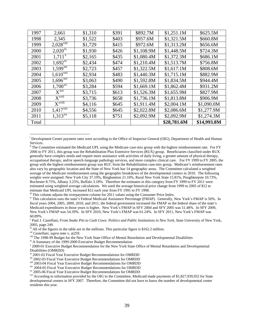| 1997  | 2,661                            | \$1,310 | \$391 | \$892.7M   | \$1,251.1M  | \$625.5M    |
|-------|----------------------------------|---------|-------|------------|-------------|-------------|
| 1998  | 2,345                            | \$1,522 | \$403 | \$957.6M   | \$1,321.5M  | \$660.8M    |
| 1999  | $2,028^{\overline{\text{viii}}}$ | \$1,729 | \$415 | \$972.6M   | \$1,313.2M  | \$656.6M    |
| 2000  | $2,020^{ix}$                     | \$1,930 | \$426 | \$1,108.9M | \$1,448.5M  | \$724.3M    |
| 2001  | $1,711^x$                        | \$2,165 | \$435 | \$1,080.4M | \$1,372.3M  | \$686.1M    |
| 2002  | $1,692$ <sup>xi</sup>            | \$2,434 | \$474 | \$1,210.4M | \$1,513.7M  | \$756.8M    |
| 2003  | $1,599^{\overline{x\text{iii}}}$ | \$2,723 | \$457 | \$1,322.5M | \$1,617.1M  | \$808.6M    |
| 2004  | $1,610$ <sup>xiii</sup>          | \$2,934 | \$483 | \$1,440.3M | \$1,715.1M  | \$882.9M    |
| 2005  | $1,696$ <sup>xiv</sup>           | \$3,063 | \$490 | \$1,592.8M | \$1,834.5M  | \$944.4M    |
| 2006  | $1,700^{xy}$                     | \$3,284 | \$594 | \$1,669.1M | \$1,862.4M  | \$931.2M    |
| 2007  | $X^{XVI}$                        | \$3,715 | \$613 | \$1,526.3M | \$1,655.9M  | \$827.9M    |
| 2008  | $X^{xvii}$                       | \$3,736 | \$658 | \$1,736.1M | \$1,813.8M  | \$906.9M    |
| 2009  | $\overline{X^{xviii}}$           | \$4,116 | \$645 | \$1,911.4M | \$2,004.1M  | \$1,090.0M  |
| 2010  | $1,417^{\overline{\text{xix}}}$  | \$4,556 | \$645 | \$2,022.8M | \$2,086.6M  | \$1,277.9M  |
| 2011  | $1.313^{xx}$                     | \$5,118 | \$751 | \$2,092.9M | \$2,092.9M  | \$1,274.3M  |
| Total |                                  |         |       |            | \$28,781.6M | \$14,993.8M |

<span id="page-38-0"></span>i <sup>i</sup> Development Center payment rates were according to the Office of Inspector General (OIG), Department of Health and Human Services.

<span id="page-38-3"></span><span id="page-38-2"></span>iii This column adjusts the overpayment column for 2011 values using the Consumer Price Index.<br><sup>iv</sup> This calculation uses the state's Federal Medicaid Assistance Percentage (FMAP). Generally, New York's FMAP is 50%. In fiscal years 2004, 2005, 2009, 2010, and 2011, the federal government increased the FMAP so the federal share of the state's Medicaid expenditures in those years is higher. New York's FMAP in SFY 2004 and SFY 2005 was 51.48%. In SFY 2009, New York's FMAP was 54.39%. In SFY 2010, New York's FMAP was 61.24%. In SFY 2011, New York's FMAP was 60.89%.

<span id="page-38-4"></span><sup>v</sup> Paul J. Castellani, *From Snake Pits to Cash Cows: Politics and Public Institutions in New York*, State University of New York, 2005, page 249.<br> $\frac{1}{2}$  All of the figures in the table are in the millions. This particular figure is \$162.2 million.

<span id="page-38-9"></span><span id="page-38-8"></span>

<span id="page-38-7"></span><span id="page-38-6"></span><span id="page-38-5"></span><sup>vii</sup> Castellani, supra note v, at 259.<br><sup>Vii</sup> The 1998-99 Budget for the New York State Office of Mental Retardation and Developmental Disabilities<br><sup>ix</sup> A Summary of the 1999-2000 Executive Budget Recommendation<br><sup>x</sup> 2000-0

<span id="page-38-12"></span>

<span id="page-38-14"></span><span id="page-38-13"></span>

<span id="page-38-15"></span>

<span id="page-38-11"></span><span id="page-38-10"></span><sup>xi</sup> 2001-02 Fiscal Year Executive Budget Recommendations for OMRDD<br><sup>xii</sup> 2002-03 Fiscal Year Executive Budget Recommendations for OMRDD<br><sup>xii</sup> 2003-04 Fiscal Year Executive Budget Recommendations for OMRDD<br><sup>xiv</sup> 2004-05 Fi developmental centers in SFY 2007. Therefore, the Committee did not have to know the number of developmental center residents this year.

<span id="page-38-1"></span>ii The Committee estimated the Medicaid UPL using the Medicare case-mix group with the highest reimbursement rate. For FY 2006 to FY 2011, this group was the Rehabilitation Plus Extensive Services (RUX) group. Beneficiaries classified under RUX generally have complex needs and require more assistance with activities of daily living, a greater amount of physical therapy, occupational therapy, and/or speech-language pathology services, and more complex clinical care. For FY 1999 to FY 2005, the group with the highest reimbursement group was RUC from the Rehabilitation case-mix group. Medicare's reimbursement rates also vary by geographic location and the State of New York has 14 geographic areas. The Committee calculated a weighted average of the Medicare reimbursement using the geographic breakdown of the developmental centers in 2010. The following weights were assigned: New York City 37.19%, Binghamton 21.10%, Rural New York State 15.81%, Poughkeepsie 10.73%, Rochester 8.75%, Albany 3.25%, Buffalo 3.18%. Therefore the estimates in this category from FY 1999 to FY 2011 were estimated using weighted average calculations. We used the average historical price change from 1999 to 2005 of \$12 to estimate that Medicaid UPL increased \$12 each year from FY 1991 to FY 1998.